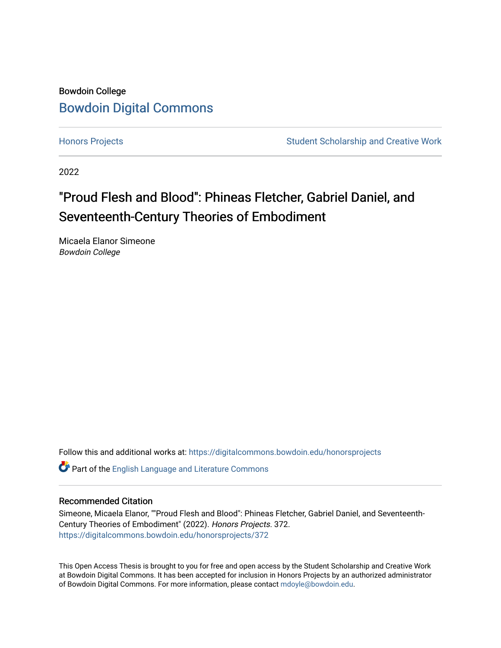## Bowdoin College [Bowdoin Digital Commons](https://digitalcommons.bowdoin.edu/)

[Honors Projects](https://digitalcommons.bowdoin.edu/honorsprojects) **Student Scholarship and Creative Work** Student Scholarship and Creative Work

2022

# "Proud Flesh and Blood": Phineas Fletcher, Gabriel Daniel, and Seventeenth-Century Theories of Embodiment

Micaela Elanor Simeone Bowdoin College

Follow this and additional works at: [https://digitalcommons.bowdoin.edu/honorsprojects](https://digitalcommons.bowdoin.edu/honorsprojects?utm_source=digitalcommons.bowdoin.edu%2Fhonorsprojects%2F372&utm_medium=PDF&utm_campaign=PDFCoverPages)

Part of the [English Language and Literature Commons](https://network.bepress.com/hgg/discipline/455?utm_source=digitalcommons.bowdoin.edu%2Fhonorsprojects%2F372&utm_medium=PDF&utm_campaign=PDFCoverPages)

#### Recommended Citation

Simeone, Micaela Elanor, ""Proud Flesh and Blood": Phineas Fletcher, Gabriel Daniel, and Seventeenth-Century Theories of Embodiment" (2022). Honors Projects. 372. [https://digitalcommons.bowdoin.edu/honorsprojects/372](https://digitalcommons.bowdoin.edu/honorsprojects/372?utm_source=digitalcommons.bowdoin.edu%2Fhonorsprojects%2F372&utm_medium=PDF&utm_campaign=PDFCoverPages)

This Open Access Thesis is brought to you for free and open access by the Student Scholarship and Creative Work at Bowdoin Digital Commons. It has been accepted for inclusion in Honors Projects by an authorized administrator of Bowdoin Digital Commons. For more information, please contact [mdoyle@bowdoin.edu.](mailto:mdoyle@bowdoin.edu)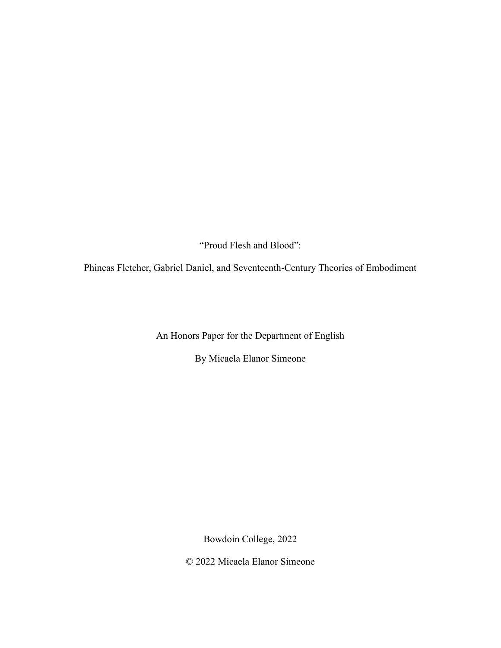"Proud Flesh and Blood":

Phineas Fletcher, Gabriel Daniel, and Seventeenth-Century Theories of Embodiment

An Honors Paper for the Department of English

By Micaela Elanor Simeone

Bowdoin College, 2022

© 2022 Micaela Elanor Simeone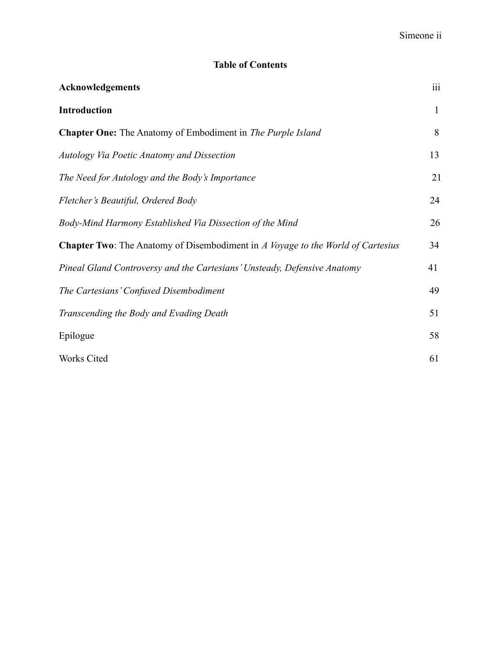### **Table of Contents**

| Acknowledgements                                                                       | iii |
|----------------------------------------------------------------------------------------|-----|
| <b>Introduction</b>                                                                    | 1   |
| <b>Chapter One:</b> The Anatomy of Embodiment in The Purple Island                     | 8   |
| Autology Via Poetic Anatomy and Dissection                                             | 13  |
| The Need for Autology and the Body's Importance                                        | 21  |
| Fletcher's Beautiful, Ordered Body                                                     | 24  |
| Body-Mind Harmony Established Via Dissection of the Mind                               | 26  |
| <b>Chapter Two:</b> The Anatomy of Disembodiment in A Voyage to the World of Cartesius | 34  |
| Pineal Gland Controversy and the Cartesians' Unsteady, Defensive Anatomy               | 41  |
| The Cartesians' Confused Disembodiment                                                 | 49  |
| Transcending the Body and Evading Death                                                | 51  |
| Epilogue                                                                               | 58  |
| Works Cited                                                                            | 61  |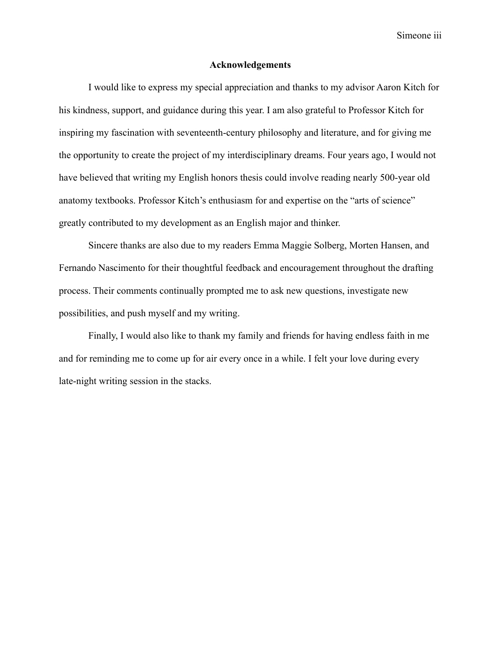Simeone iii

#### **Acknowledgements**

I would like to express my special appreciation and thanks to my advisor Aaron Kitch for his kindness, support, and guidance during this year. I am also grateful to Professor Kitch for inspiring my fascination with seventeenth-century philosophy and literature, and for giving me the opportunity to create the project of my interdisciplinary dreams. Four years ago, I would not have believed that writing my English honors thesis could involve reading nearly 500-year old anatomy textbooks. Professor Kitch's enthusiasm for and expertise on the "arts of science" greatly contributed to my development as an English major and thinker.

Sincere thanks are also due to my readers Emma Maggie Solberg, Morten Hansen, and Fernando Nascimento for their thoughtful feedback and encouragement throughout the drafting process. Their comments continually prompted me to ask new questions, investigate new possibilities, and push myself and my writing.

Finally, I would also like to thank my family and friends for having endless faith in me and for reminding me to come up for air every once in a while. I felt your love during every late-night writing session in the stacks.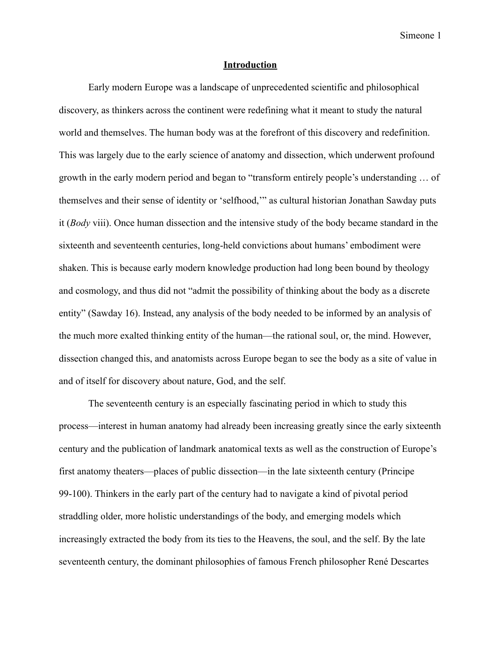#### **Introduction**

Early modern Europe was a landscape of unprecedented scientific and philosophical discovery, as thinkers across the continent were redefining what it meant to study the natural world and themselves. The human body was at the forefront of this discovery and redefinition. This was largely due to the early science of anatomy and dissection, which underwent profound growth in the early modern period and began to "transform entirely people's understanding … of themselves and their sense of identity or 'selfhood,'" as cultural historian Jonathan Sawday puts it (*Body* viii). Once human dissection and the intensive study of the body became standard in the sixteenth and seventeenth centuries, long-held convictions about humans' embodiment were shaken. This is because early modern knowledge production had long been bound by theology and cosmology, and thus did not "admit the possibility of thinking about the body as a discrete entity" (Sawday 16). Instead, any analysis of the body needed to be informed by an analysis of the much more exalted thinking entity of the human—the rational soul, or, the mind. However, dissection changed this, and anatomists across Europe began to see the body as a site of value in and of itself for discovery about nature, God, and the self.

The seventeenth century is an especially fascinating period in which to study this process—interest in human anatomy had already been increasing greatly since the early sixteenth century and the publication of landmark anatomical texts as well as the construction of Europe's first anatomy theaters—places of public dissection—in the late sixteenth century (Principe 99-100). Thinkers in the early part of the century had to navigate a kind of pivotal period straddling older, more holistic understandings of the body, and emerging models which increasingly extracted the body from its ties to the Heavens, the soul, and the self. By the late seventeenth century, the dominant philosophies of famous French philosopher René Descartes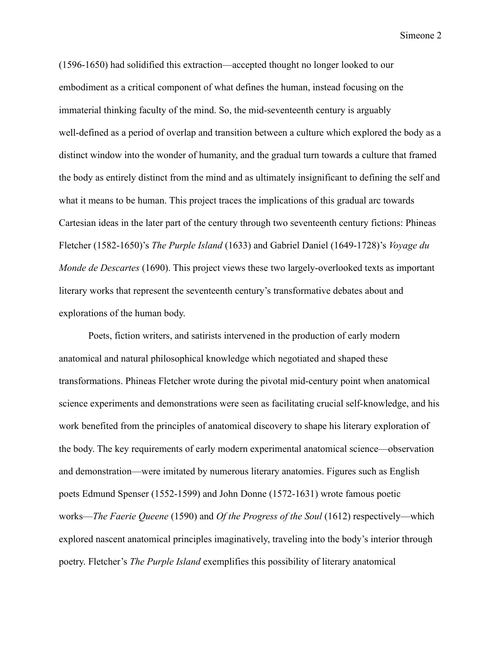(1596-1650) had solidified this extraction—accepted thought no longer looked to our embodiment as a critical component of what defines the human, instead focusing on the immaterial thinking faculty of the mind. So, the mid-seventeenth century is arguably well-defined as a period of overlap and transition between a culture which explored the body as a distinct window into the wonder of humanity, and the gradual turn towards a culture that framed the body as entirely distinct from the mind and as ultimately insignificant to defining the self and what it means to be human. This project traces the implications of this gradual arc towards Cartesian ideas in the later part of the century through two seventeenth century fictions: Phineas Fletcher (1582-1650)'s *The Purple Island* (1633) and Gabriel Daniel (1649-1728)'s *Voyage du Monde de Descartes* (1690). This project views these two largely-overlooked texts as important literary works that represent the seventeenth century's transformative debates about and explorations of the human body.

Poets, fiction writers, and satirists intervened in the production of early modern anatomical and natural philosophical knowledge which negotiated and shaped these transformations. Phineas Fletcher wrote during the pivotal mid-century point when anatomical science experiments and demonstrations were seen as facilitating crucial self-knowledge, and his work benefited from the principles of anatomical discovery to shape his literary exploration of the body. The key requirements of early modern experimental anatomical science—observation and demonstration—were imitated by numerous literary anatomies. Figures such as English poets Edmund Spenser (1552-1599) and John Donne (1572-1631) wrote famous poetic works—*The Faerie Queene* (1590) and *Of the Progress of the Soul* (1612) respectively—which explored nascent anatomical principles imaginatively, traveling into the body's interior through poetry. Fletcher's *The Purple Island* exemplifies this possibility of literary anatomical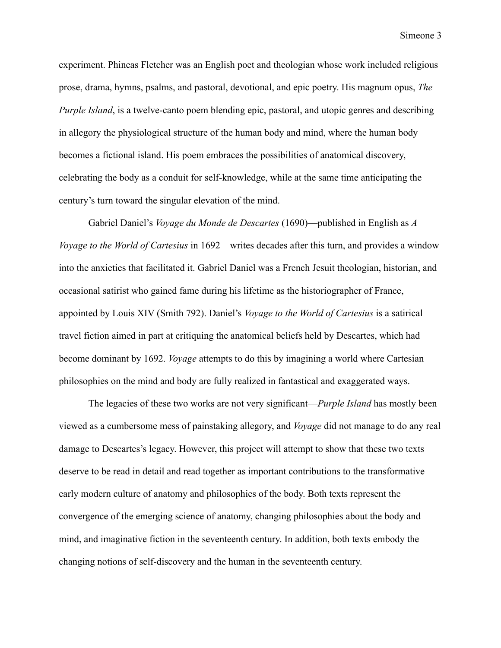experiment. Phineas Fletcher was an English poet and theologian whose work included religious prose, drama, hymns, psalms, and pastoral, devotional, and epic poetry. His magnum opus, *The Purple Island*, is a twelve-canto poem blending epic, pastoral, and utopic genres and describing in allegory the physiological structure of the human body and mind, where the human body becomes a fictional island. His poem embraces the possibilities of anatomical discovery, celebrating the body as a conduit for self-knowledge, while at the same time anticipating the century's turn toward the singular elevation of the mind.

Gabriel Daniel's *Voyage du Monde de Descartes* (1690)—published in English as *A Voyage to the World of Cartesius* in 1692—writes decades after this turn, and provides a window into the anxieties that facilitated it. Gabriel Daniel was a French Jesuit theologian, historian, and occasional satirist who gained fame during his lifetime as the historiographer of France, appointed by Louis XIV (Smith 792). Daniel's *Voyage to the World of Cartesius* is a satirical travel fiction aimed in part at critiquing the anatomical beliefs held by Descartes, which had become dominant by 1692. *Voyage* attempts to do this by imagining a world where Cartesian philosophies on the mind and body are fully realized in fantastical and exaggerated ways.

The legacies of these two works are not very significant—*Purple Island* has mostly been viewed as a cumbersome mess of painstaking allegory, and *Voyage* did not manage to do any real damage to Descartes's legacy. However, this project will attempt to show that these two texts deserve to be read in detail and read together as important contributions to the transformative early modern culture of anatomy and philosophies of the body. Both texts represent the convergence of the emerging science of anatomy, changing philosophies about the body and mind, and imaginative fiction in the seventeenth century. In addition, both texts embody the changing notions of self-discovery and the human in the seventeenth century.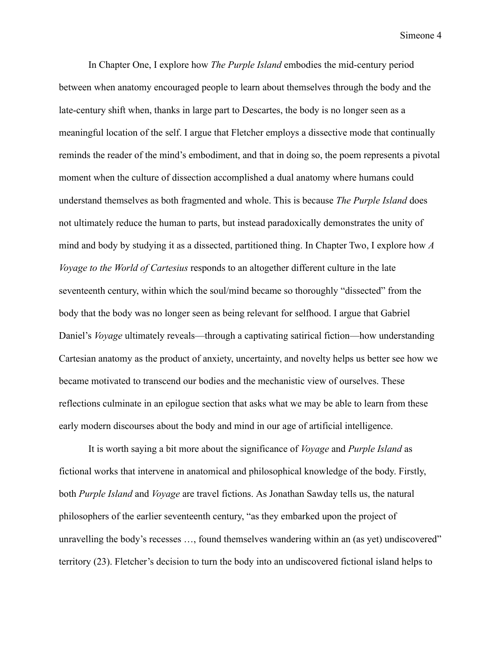In Chapter One, I explore how *The Purple Island* embodies the mid-century period between when anatomy encouraged people to learn about themselves through the body and the late-century shift when, thanks in large part to Descartes, the body is no longer seen as a meaningful location of the self. I argue that Fletcher employs a dissective mode that continually reminds the reader of the mind's embodiment, and that in doing so, the poem represents a pivotal moment when the culture of dissection accomplished a dual anatomy where humans could understand themselves as both fragmented and whole. This is because *The Purple Island* does not ultimately reduce the human to parts, but instead paradoxically demonstrates the unity of mind and body by studying it as a dissected, partitioned thing. In Chapter Two, I explore how *A Voyage to the World of Cartesius* responds to an altogether different culture in the late seventeenth century, within which the soul/mind became so thoroughly "dissected" from the body that the body was no longer seen as being relevant for selfhood. I argue that Gabriel Daniel's *Voyage* ultimately reveals—through a captivating satirical fiction—how understanding Cartesian anatomy as the product of anxiety, uncertainty, and novelty helps us better see how we became motivated to transcend our bodies and the mechanistic view of ourselves. These reflections culminate in an epilogue section that asks what we may be able to learn from these early modern discourses about the body and mind in our age of artificial intelligence.

It is worth saying a bit more about the significance of *Voyage* and *Purple Island* as fictional works that intervene in anatomical and philosophical knowledge of the body. Firstly, both *Purple Island* and *Voyage* are travel fictions. As Jonathan Sawday tells us, the natural philosophers of the earlier seventeenth century, "as they embarked upon the project of unravelling the body's recesses …, found themselves wandering within an (as yet) undiscovered" territory (23). Fletcher's decision to turn the body into an undiscovered fictional island helps to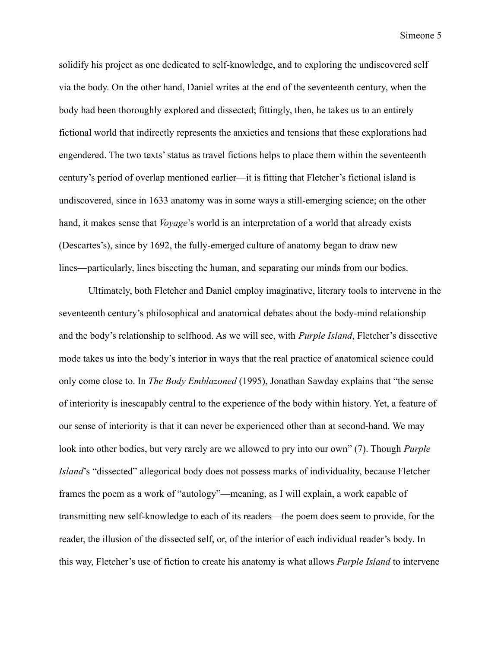solidify his project as one dedicated to self-knowledge, and to exploring the undiscovered self via the body. On the other hand, Daniel writes at the end of the seventeenth century, when the body had been thoroughly explored and dissected; fittingly, then, he takes us to an entirely fictional world that indirectly represents the anxieties and tensions that these explorations had engendered. The two texts' status as travel fictions helps to place them within the seventeenth century's period of overlap mentioned earlier—it is fitting that Fletcher's fictional island is undiscovered, since in 1633 anatomy was in some ways a still-emerging science; on the other hand, it makes sense that *Voyage*'s world is an interpretation of a world that already exists (Descartes's), since by 1692, the fully-emerged culture of anatomy began to draw new lines—particularly, lines bisecting the human, and separating our minds from our bodies.

Ultimately, both Fletcher and Daniel employ imaginative, literary tools to intervene in the seventeenth century's philosophical and anatomical debates about the body-mind relationship and the body's relationship to selfhood. As we will see, with *Purple Island*, Fletcher's dissective mode takes us into the body's interior in ways that the real practice of anatomical science could only come close to. In *The Body Emblazoned* (1995), Jonathan Sawday explains that "the sense of interiority is inescapably central to the experience of the body within history. Yet, a feature of our sense of interiority is that it can never be experienced other than at second-hand. We may look into other bodies, but very rarely are we allowed to pry into our own" (7). Though *Purple Island*'s "dissected" allegorical body does not possess marks of individuality, because Fletcher frames the poem as a work of "autology"—meaning, as I will explain, a work capable of transmitting new self-knowledge to each of its readers—the poem does seem to provide, for the reader, the illusion of the dissected self, or, of the interior of each individual reader's body. In this way, Fletcher's use of fiction to create his anatomy is what allows *Purple Island* to intervene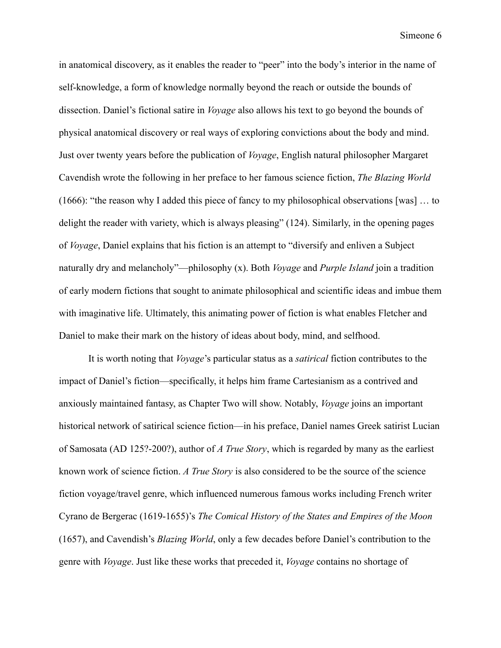in anatomical discovery, as it enables the reader to "peer" into the body's interior in the name of self-knowledge, a form of knowledge normally beyond the reach or outside the bounds of dissection. Daniel's fictional satire in *Voyage* also allows his text to go beyond the bounds of physical anatomical discovery or real ways of exploring convictions about the body and mind. Just over twenty years before the publication of *Voyage*, English natural philosopher Margaret Cavendish wrote the following in her preface to her famous science fiction, *The Blazing World* (1666): "the reason why I added this piece of fancy to my philosophical observations [was] … to delight the reader with variety, which is always pleasing" (124). Similarly, in the opening pages of *Voyage*, Daniel explains that his fiction is an attempt to "diversify and enliven a Subject naturally dry and melancholy"—philosophy (x). Both *Voyage* and *Purple Island* join a tradition of early modern fictions that sought to animate philosophical and scientific ideas and imbue them with imaginative life. Ultimately, this animating power of fiction is what enables Fletcher and Daniel to make their mark on the history of ideas about body, mind, and selfhood.

It is worth noting that *Voyage*'s particular status as a *satirical* fiction contributes to the impact of Daniel's fiction—specifically, it helps him frame Cartesianism as a contrived and anxiously maintained fantasy, as Chapter Two will show. Notably, *Voyage* joins an important historical network of satirical science fiction—in his preface, Daniel names Greek satirist Lucian of Samosata (AD 125?-200?), author of *A True Story*, which is regarded by many as the earliest known work of science fiction. *A True Story* is also considered to be the source of the science fiction voyage/travel genre, which influenced numerous famous works including French writer Cyrano de Bergerac (1619-1655)'s *The Comical History of the States and Empires of the Moon* (1657), and Cavendish's *Blazing World*, only a few decades before Daniel's contribution to the genre with *Voyage*. Just like these works that preceded it, *Voyage* contains no shortage of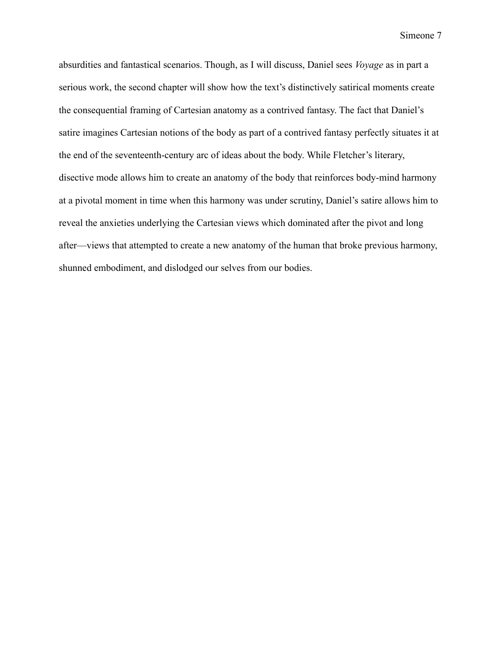absurdities and fantastical scenarios. Though, as I will discuss, Daniel sees *Voyage* as in part a serious work, the second chapter will show how the text's distinctively satirical moments create the consequential framing of Cartesian anatomy as a contrived fantasy. The fact that Daniel's satire imagines Cartesian notions of the body as part of a contrived fantasy perfectly situates it at the end of the seventeenth-century arc of ideas about the body. While Fletcher's literary, disective mode allows him to create an anatomy of the body that reinforces body-mind harmony at a pivotal moment in time when this harmony was under scrutiny, Daniel's satire allows him to reveal the anxieties underlying the Cartesian views which dominated after the pivot and long after—views that attempted to create a new anatomy of the human that broke previous harmony, shunned embodiment, and dislodged our selves from our bodies.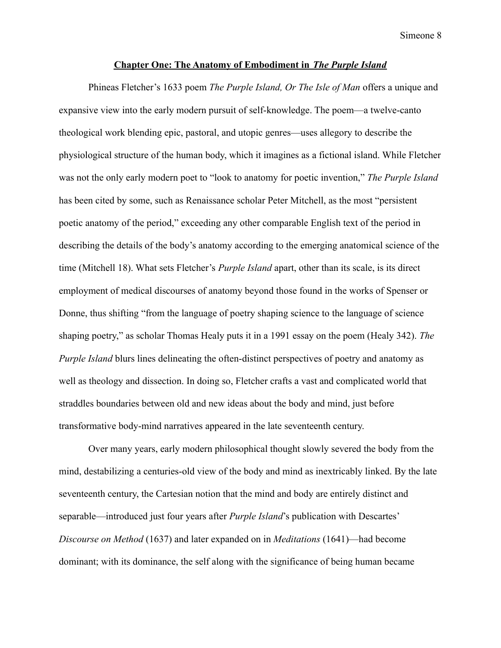#### **Chapter One: The Anatomy of Embodiment in** *The Purple Island*

Phineas Fletcher's 1633 poem *The Purple Island, Or The Isle of Man* offers a unique and expansive view into the early modern pursuit of self-knowledge. The poem—a twelve-canto theological work blending epic, pastoral, and utopic genres—uses allegory to describe the physiological structure of the human body, which it imagines as a fictional island. While Fletcher was not the only early modern poet to "look to anatomy for poetic invention," *The Purple Island* has been cited by some, such as Renaissance scholar Peter Mitchell, as the most "persistent poetic anatomy of the period," exceeding any other comparable English text of the period in describing the details of the body's anatomy according to the emerging anatomical science of the time (Mitchell 18). What sets Fletcher's *Purple Island* apart, other than its scale, is its direct employment of medical discourses of anatomy beyond those found in the works of Spenser or Donne, thus shifting "from the language of poetry shaping science to the language of science shaping poetry," as scholar Thomas Healy puts it in a 1991 essay on the poem (Healy 342). *The Purple Island* blurs lines delineating the often-distinct perspectives of poetry and anatomy as well as theology and dissection. In doing so, Fletcher crafts a vast and complicated world that straddles boundaries between old and new ideas about the body and mind, just before transformative body-mind narratives appeared in the late seventeenth century.

Over many years, early modern philosophical thought slowly severed the body from the mind, destabilizing a centuries-old view of the body and mind as inextricably linked. By the late seventeenth century, the Cartesian notion that the mind and body are entirely distinct and separable—introduced just four years after *Purple Island*'s publication with Descartes' *Discourse on Method* (1637) and later expanded on in *Meditations* (1641)—had become dominant; with its dominance, the self along with the significance of being human became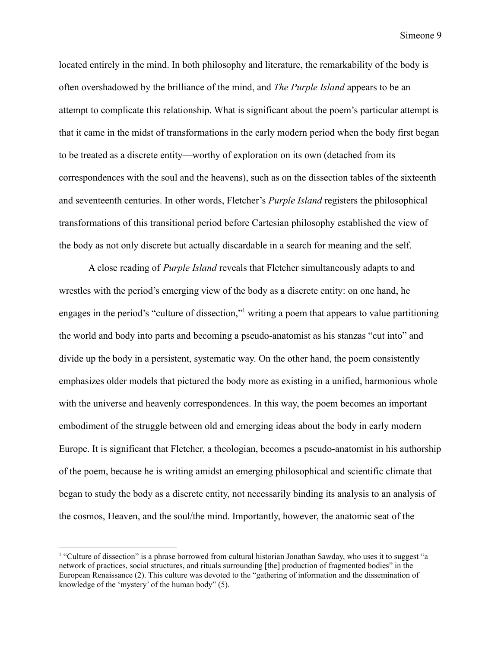located entirely in the mind. In both philosophy and literature, the remarkability of the body is often overshadowed by the brilliance of the mind, and *The Purple Island* appears to be an attempt to complicate this relationship. What is significant about the poem's particular attempt is that it came in the midst of transformations in the early modern period when the body first began to be treated as a discrete entity—worthy of exploration on its own (detached from its correspondences with the soul and the heavens), such as on the dissection tables of the sixteenth and seventeenth centuries. In other words, Fletcher's *Purple Island* registers the philosophical transformations of this transitional period before Cartesian philosophy established the view of the body as not only discrete but actually discardable in a search for meaning and the self.

A close reading of *Purple Island* reveals that Fletcher simultaneously adapts to and wrestles with the period's emerging view of the body as a discrete entity: on one hand, he engages in the period's "culture of dissection," writing a poem that appears to value partitioning the world and body into parts and becoming a pseudo-anatomist as his stanzas "cut into" and divide up the body in a persistent, systematic way. On the other hand, the poem consistently emphasizes older models that pictured the body more as existing in a unified, harmonious whole with the universe and heavenly correspondences. In this way, the poem becomes an important embodiment of the struggle between old and emerging ideas about the body in early modern Europe. It is significant that Fletcher, a theologian, becomes a pseudo-anatomist in his authorship of the poem, because he is writing amidst an emerging philosophical and scientific climate that began to study the body as a discrete entity, not necessarily binding its analysis to an analysis of the cosmos, Heaven, and the soul/the mind. Importantly, however, the anatomic seat of the

<sup>&</sup>lt;sup>1</sup> "Culture of dissection" is a phrase borrowed from cultural historian Jonathan Sawday, who uses it to suggest "a network of practices, social structures, and rituals surrounding [the] production of fragmented bodies" in the European Renaissance (2). This culture was devoted to the "gathering of information and the dissemination of knowledge of the 'mystery' of the human body" (5).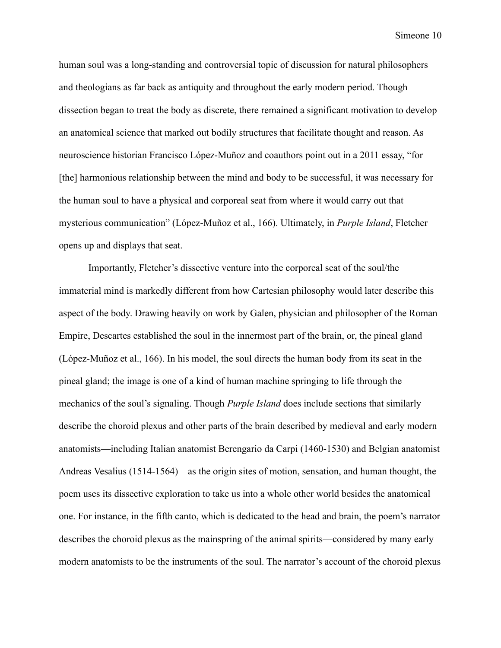human soul was a long-standing and controversial topic of discussion for natural philosophers and theologians as far back as antiquity and throughout the early modern period. Though dissection began to treat the body as discrete, there remained a significant motivation to develop an anatomical science that marked out bodily structures that facilitate thought and reason. As neuroscience historian Francisco López-Muñoz and coauthors point out in a 2011 essay, "for [the] harmonious relationship between the mind and body to be successful, it was necessary for the human soul to have a physical and corporeal seat from where it would carry out that mysterious communication" (López-Muñoz et al., 166). Ultimately, in *Purple Island*, Fletcher opens up and displays that seat.

Importantly, Fletcher's dissective venture into the corporeal seat of the soul/the immaterial mind is markedly different from how Cartesian philosophy would later describe this aspect of the body. Drawing heavily on work by Galen, physician and philosopher of the Roman Empire, Descartes established the soul in the innermost part of the brain, or, the pineal gland (López-Muñoz et al., 166). In his model, the soul directs the human body from its seat in the pineal gland; the image is one of a kind of human machine springing to life through the mechanics of the soul's signaling. Though *Purple Island* does include sections that similarly describe the choroid plexus and other parts of the brain described by medieval and early modern anatomists—including Italian anatomist Berengario da Carpi (1460-1530) and Belgian anatomist Andreas Vesalius (1514-1564)—as the origin sites of motion, sensation, and human thought, the poem uses its dissective exploration to take us into a whole other world besides the anatomical one. For instance, in the fifth canto, which is dedicated to the head and brain, the poem's narrator describes the choroid plexus as the mainspring of the animal spirits—considered by many early modern anatomists to be the instruments of the soul. The narrator's account of the choroid plexus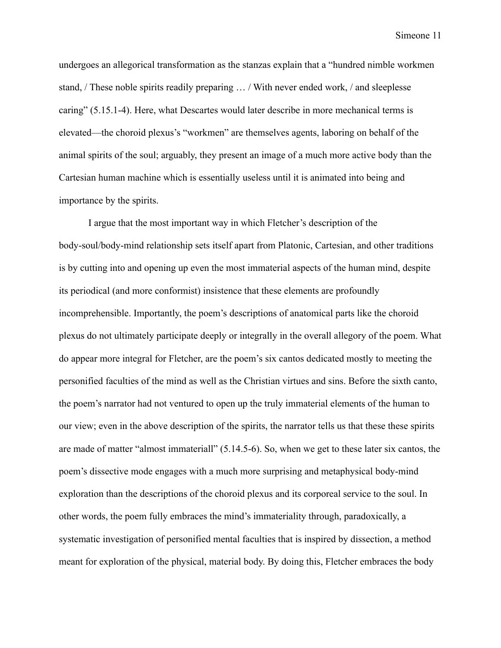undergoes an allegorical transformation as the stanzas explain that a "hundred nimble workmen stand, / These noble spirits readily preparing … / With never ended work, / and sleeplesse caring" (5.15.1-4). Here, what Descartes would later describe in more mechanical terms is elevated—the choroid plexus's "workmen" are themselves agents, laboring on behalf of the animal spirits of the soul; arguably, they present an image of a much more active body than the Cartesian human machine which is essentially useless until it is animated into being and importance by the spirits.

I argue that the most important way in which Fletcher's description of the body-soul/body-mind relationship sets itself apart from Platonic, Cartesian, and other traditions is by cutting into and opening up even the most immaterial aspects of the human mind, despite its periodical (and more conformist) insistence that these elements are profoundly incomprehensible. Importantly, the poem's descriptions of anatomical parts like the choroid plexus do not ultimately participate deeply or integrally in the overall allegory of the poem. What do appear more integral for Fletcher, are the poem's six cantos dedicated mostly to meeting the personified faculties of the mind as well as the Christian virtues and sins. Before the sixth canto, the poem's narrator had not ventured to open up the truly immaterial elements of the human to our view; even in the above description of the spirits, the narrator tells us that these these spirits are made of matter "almost immateriall" (5.14.5-6). So, when we get to these later six cantos, the poem's dissective mode engages with a much more surprising and metaphysical body-mind exploration than the descriptions of the choroid plexus and its corporeal service to the soul. In other words, the poem fully embraces the mind's immateriality through, paradoxically, a systematic investigation of personified mental faculties that is inspired by dissection, a method meant for exploration of the physical, material body. By doing this, Fletcher embraces the body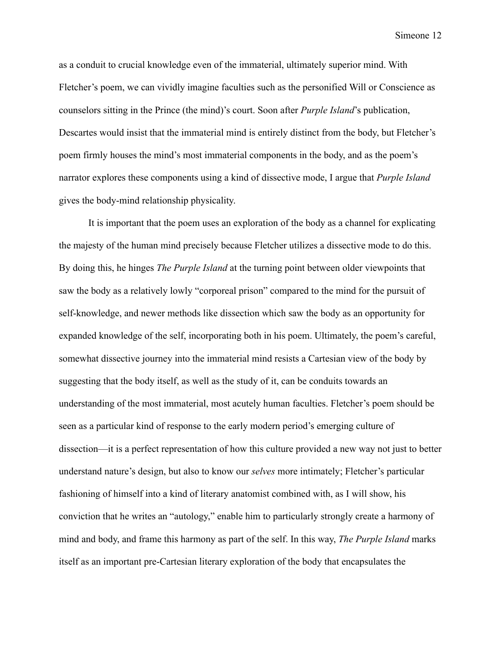as a conduit to crucial knowledge even of the immaterial, ultimately superior mind. With Fletcher's poem, we can vividly imagine faculties such as the personified Will or Conscience as counselors sitting in the Prince (the mind)'s court. Soon after *Purple Island*'s publication, Descartes would insist that the immaterial mind is entirely distinct from the body, but Fletcher's poem firmly houses the mind's most immaterial components in the body, and as the poem's narrator explores these components using a kind of dissective mode, I argue that *Purple Island* gives the body-mind relationship physicality.

It is important that the poem uses an exploration of the body as a channel for explicating the majesty of the human mind precisely because Fletcher utilizes a dissective mode to do this. By doing this, he hinges *The Purple Island* at the turning point between older viewpoints that saw the body as a relatively lowly "corporeal prison" compared to the mind for the pursuit of self-knowledge, and newer methods like dissection which saw the body as an opportunity for expanded knowledge of the self, incorporating both in his poem. Ultimately, the poem's careful, somewhat dissective journey into the immaterial mind resists a Cartesian view of the body by suggesting that the body itself, as well as the study of it, can be conduits towards an understanding of the most immaterial, most acutely human faculties. Fletcher's poem should be seen as a particular kind of response to the early modern period's emerging culture of dissection—it is a perfect representation of how this culture provided a new way not just to better understand nature's design, but also to know our *selves* more intimately; Fletcher's particular fashioning of himself into a kind of literary anatomist combined with, as I will show, his conviction that he writes an "autology," enable him to particularly strongly create a harmony of mind and body, and frame this harmony as part of the self. In this way, *The Purple Island* marks itself as an important pre-Cartesian literary exploration of the body that encapsulates the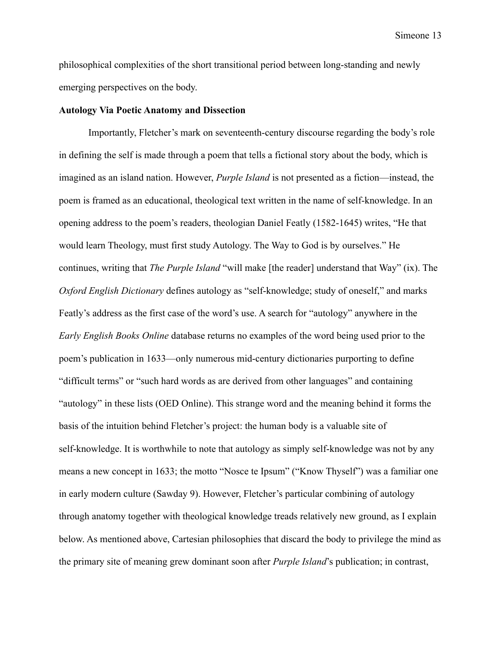philosophical complexities of the short transitional period between long-standing and newly emerging perspectives on the body.

#### **Autology Via Poetic Anatomy and Dissection**

Importantly, Fletcher's mark on seventeenth-century discourse regarding the body's role in defining the self is made through a poem that tells a fictional story about the body, which is imagined as an island nation. However, *Purple Island* is not presented as a fiction—instead, the poem is framed as an educational, theological text written in the name of self-knowledge. In an opening address to the poem's readers, theologian Daniel Featly (1582-1645) writes, "He that would learn Theology, must first study Autology. The Way to God is by ourselves." He continues, writing that *The Purple Island* "will make [the reader] understand that Way" (ix). The *Oxford English Dictionary* defines autology as "self-knowledge; study of oneself," and marks Featly's address as the first case of the word's use. A search for "autology" anywhere in the *Early English Books Online* database returns no examples of the word being used prior to the poem's publication in 1633—only numerous mid-century dictionaries purporting to define "difficult terms" or "such hard words as are derived from other languages" and containing "autology" in these lists (OED Online). This strange word and the meaning behind it forms the basis of the intuition behind Fletcher's project: the human body is a valuable site of self-knowledge. It is worthwhile to note that autology as simply self-knowledge was not by any means a new concept in 1633; the motto "Nosce te Ipsum" ("Know Thyself") was a familiar one in early modern culture (Sawday 9). However, Fletcher's particular combining of autology through anatomy together with theological knowledge treads relatively new ground, as I explain below. As mentioned above, Cartesian philosophies that discard the body to privilege the mind as the primary site of meaning grew dominant soon after *Purple Island*'s publication; in contrast,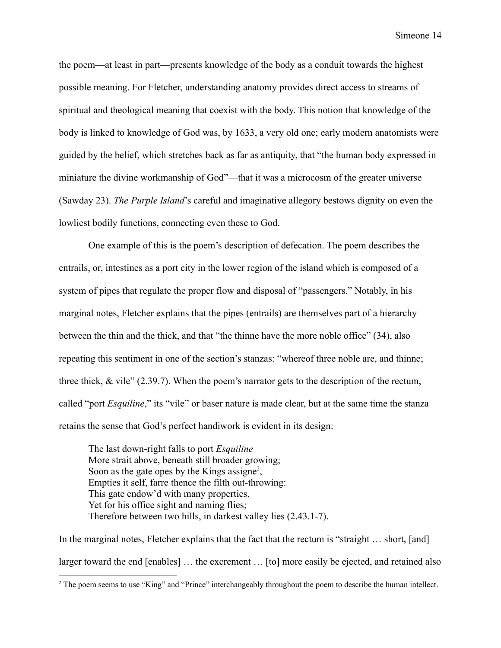the poem—at least in part—presents knowledge of the body as a conduit towards the highest possible meaning. For Fletcher, understanding anatomy provides direct access to streams of spiritual and theological meaning that coexist with the body. This notion that knowledge of the body is linked to knowledge of God was, by 1633, a very old one; early modern anatomists were guided by the belief, which stretches back as far as antiquity, that "the human body expressed in miniature the divine workmanship of God"—that it was a microcosm of the greater universe (Sawday 23). *The Purple Island*'s careful and imaginative allegory bestows dignity on even the lowliest bodily functions, connecting even these to God.

One example of this is the poem's description of defecation. The poem describes the entrails, or, intestines as a port city in the lower region of the island which is composed of a system of pipes that regulate the proper flow and disposal of "passengers." Notably, in his marginal notes, Fletcher explains that the pipes (entrails) are themselves part of a hierarchy between the thin and the thick, and that "the thinne have the more noble office" (34), also repeating this sentiment in one of the section's stanzas: "whereof three noble are, and thinne; three thick, & vile" (2.39.7). When the poem's narrator gets to the description of the rectum, called "port *Esquiline*," its "vile" or baser nature is made clear, but at the same time the stanza retains the sense that God's perfect handiwork is evident in its design:

The last down-right falls to port *Esquiline* More strait above, beneath still broader growing; Soon as the gate opes by the Kings assigne<sup>2</sup>, Empties it self, farre thence the filth out-throwing: This gate endow'd with many properties, Yet for his office sight and naming flies; Therefore between two hills, in darkest valley lies (2.43.1-7).

In the marginal notes, Fletcher explains that the fact that the rectum is "straight … short, [and] larger toward the end [enables] … the excrement … [to] more easily be ejected, and retained also

<sup>&</sup>lt;sup>2</sup> The poem seems to use "King" and "Prince" interchangeably throughout the poem to describe the human intellect.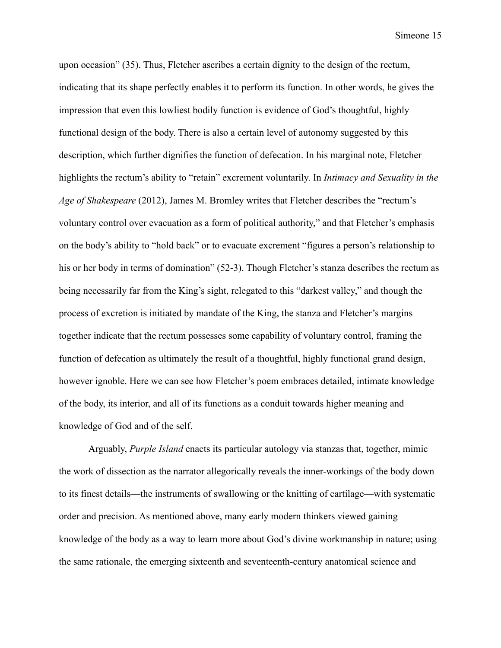upon occasion" (35). Thus, Fletcher ascribes a certain dignity to the design of the rectum, indicating that its shape perfectly enables it to perform its function. In other words, he gives the impression that even this lowliest bodily function is evidence of God's thoughtful, highly functional design of the body. There is also a certain level of autonomy suggested by this description, which further dignifies the function of defecation. In his marginal note, Fletcher highlights the rectum's ability to "retain" excrement voluntarily. In *Intimacy and Sexuality in the Age of Shakespeare* (2012), James M. Bromley writes that Fletcher describes the "rectum's voluntary control over evacuation as a form of political authority," and that Fletcher's emphasis on the body's ability to "hold back" or to evacuate excrement "figures a person's relationship to his or her body in terms of domination" (52-3). Though Fletcher's stanza describes the rectum as being necessarily far from the King's sight, relegated to this "darkest valley," and though the process of excretion is initiated by mandate of the King, the stanza and Fletcher's margins together indicate that the rectum possesses some capability of voluntary control, framing the function of defecation as ultimately the result of a thoughtful, highly functional grand design, however ignoble. Here we can see how Fletcher's poem embraces detailed, intimate knowledge of the body, its interior, and all of its functions as a conduit towards higher meaning and knowledge of God and of the self.

Arguably, *Purple Island* enacts its particular autology via stanzas that, together, mimic the work of dissection as the narrator allegorically reveals the inner-workings of the body down to its finest details—the instruments of swallowing or the knitting of cartilage—with systematic order and precision. As mentioned above, many early modern thinkers viewed gaining knowledge of the body as a way to learn more about God's divine workmanship in nature; using the same rationale, the emerging sixteenth and seventeenth-century anatomical science and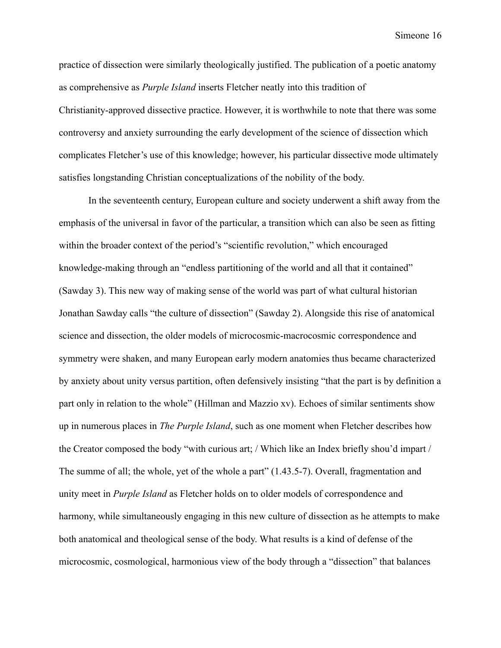practice of dissection were similarly theologically justified. The publication of a poetic anatomy as comprehensive as *Purple Island* inserts Fletcher neatly into this tradition of Christianity-approved dissective practice. However, it is worthwhile to note that there was some controversy and anxiety surrounding the early development of the science of dissection which complicates Fletcher's use of this knowledge; however, his particular dissective mode ultimately satisfies longstanding Christian conceptualizations of the nobility of the body.

In the seventeenth century, European culture and society underwent a shift away from the emphasis of the universal in favor of the particular, a transition which can also be seen as fitting within the broader context of the period's "scientific revolution," which encouraged knowledge-making through an "endless partitioning of the world and all that it contained" (Sawday 3). This new way of making sense of the world was part of what cultural historian Jonathan Sawday calls "the culture of dissection" (Sawday 2). Alongside this rise of anatomical science and dissection, the older models of microcosmic-macrocosmic correspondence and symmetry were shaken, and many European early modern anatomies thus became characterized by anxiety about unity versus partition, often defensively insisting "that the part is by definition a part only in relation to the whole" (Hillman and Mazzio xv). Echoes of similar sentiments show up in numerous places in *The Purple Island*, such as one moment when Fletcher describes how the Creator composed the body "with curious art; / Which like an Index briefly shou'd impart / The summe of all; the whole, yet of the whole a part" (1.43.5-7). Overall, fragmentation and unity meet in *Purple Island* as Fletcher holds on to older models of correspondence and harmony, while simultaneously engaging in this new culture of dissection as he attempts to make both anatomical and theological sense of the body. What results is a kind of defense of the microcosmic, cosmological, harmonious view of the body through a "dissection" that balances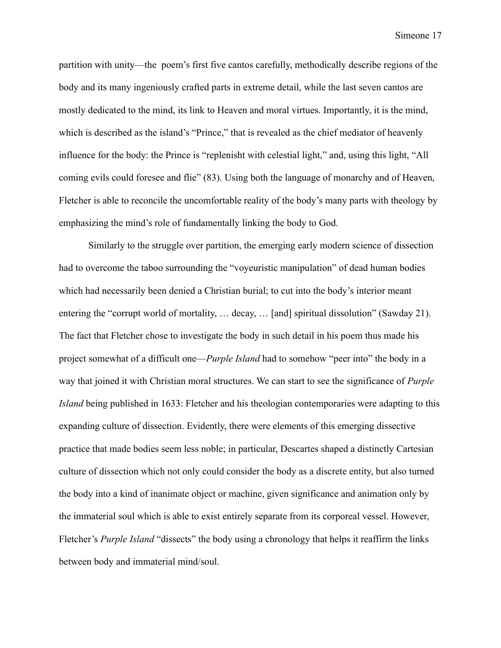partition with unity—the poem's first five cantos carefully, methodically describe regions of the body and its many ingeniously crafted parts in extreme detail, while the last seven cantos are mostly dedicated to the mind, its link to Heaven and moral virtues. Importantly, it is the mind, which is described as the island's "Prince," that is revealed as the chief mediator of heavenly influence for the body: the Prince is "replenisht with celestial light," and, using this light, "All coming evils could foresee and flie" (83). Using both the language of monarchy and of Heaven, Fletcher is able to reconcile the uncomfortable reality of the body's many parts with theology by emphasizing the mind's role of fundamentally linking the body to God.

Similarly to the struggle over partition, the emerging early modern science of dissection had to overcome the taboo surrounding the "voyeuristic manipulation" of dead human bodies which had necessarily been denied a Christian burial; to cut into the body's interior meant entering the "corrupt world of mortality, … decay, … [and] spiritual dissolution" (Sawday 21). The fact that Fletcher chose to investigate the body in such detail in his poem thus made his project somewhat of a difficult one—*Purple Island* had to somehow "peer into" the body in a way that joined it with Christian moral structures. We can start to see the significance of *Purple Island* being published in 1633: Fletcher and his theologian contemporaries were adapting to this expanding culture of dissection. Evidently, there were elements of this emerging dissective practice that made bodies seem less noble; in particular, Descartes shaped a distinctly Cartesian culture of dissection which not only could consider the body as a discrete entity, but also turned the body into a kind of inanimate object or machine, given significance and animation only by the immaterial soul which is able to exist entirely separate from its corporeal vessel. However, Fletcher's *Purple Island* "dissects" the body using a chronology that helps it reaffirm the links between body and immaterial mind/soul.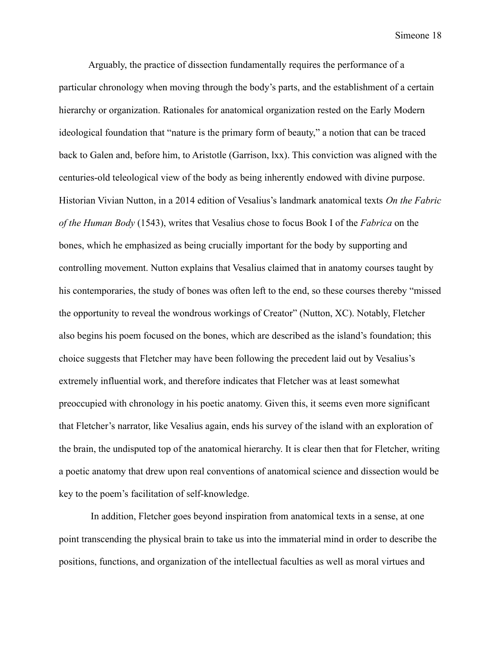Arguably, the practice of dissection fundamentally requires the performance of a particular chronology when moving through the body's parts, and the establishment of a certain hierarchy or organization. Rationales for anatomical organization rested on the Early Modern ideological foundation that "nature is the primary form of beauty," a notion that can be traced back to Galen and, before him, to Aristotle (Garrison, lxx). This conviction was aligned with the centuries-old teleological view of the body as being inherently endowed with divine purpose. Historian Vivian Nutton, in a 2014 edition of Vesalius's landmark anatomical texts *On the Fabric of the Human Body* (1543), writes that Vesalius chose to focus Book I of the *Fabrica* on the bones, which he emphasized as being crucially important for the body by supporting and controlling movement. Nutton explains that Vesalius claimed that in anatomy courses taught by his contemporaries, the study of bones was often left to the end, so these courses thereby "missed the opportunity to reveal the wondrous workings of Creator" (Nutton, XC). Notably, Fletcher also begins his poem focused on the bones, which are described as the island's foundation; this choice suggests that Fletcher may have been following the precedent laid out by Vesalius's extremely influential work, and therefore indicates that Fletcher was at least somewhat preoccupied with chronology in his poetic anatomy. Given this, it seems even more significant that Fletcher's narrator, like Vesalius again, ends his survey of the island with an exploration of the brain, the undisputed top of the anatomical hierarchy. It is clear then that for Fletcher, writing a poetic anatomy that drew upon real conventions of anatomical science and dissection would be key to the poem's facilitation of self-knowledge.

In addition, Fletcher goes beyond inspiration from anatomical texts in a sense, at one point transcending the physical brain to take us into the immaterial mind in order to describe the positions, functions, and organization of the intellectual faculties as well as moral virtues and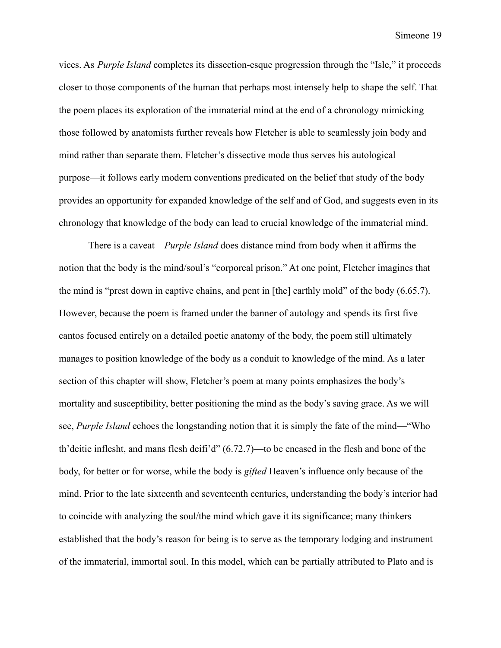vices. As *Purple Island* completes its dissection-esque progression through the "Isle," it proceeds closer to those components of the human that perhaps most intensely help to shape the self. That the poem places its exploration of the immaterial mind at the end of a chronology mimicking those followed by anatomists further reveals how Fletcher is able to seamlessly join body and mind rather than separate them. Fletcher's dissective mode thus serves his autological purpose—it follows early modern conventions predicated on the belief that study of the body provides an opportunity for expanded knowledge of the self and of God, and suggests even in its chronology that knowledge of the body can lead to crucial knowledge of the immaterial mind.

There is a caveat—*Purple Island* does distance mind from body when it affirms the notion that the body is the mind/soul's "corporeal prison." At one point, Fletcher imagines that the mind is "prest down in captive chains, and pent in [the] earthly mold" of the body (6.65.7). However, because the poem is framed under the banner of autology and spends its first five cantos focused entirely on a detailed poetic anatomy of the body, the poem still ultimately manages to position knowledge of the body as a conduit to knowledge of the mind. As a later section of this chapter will show, Fletcher's poem at many points emphasizes the body's mortality and susceptibility, better positioning the mind as the body's saving grace. As we will see, *Purple Island* echoes the longstanding notion that it is simply the fate of the mind—"Who th'deitie inflesht, and mans flesh deifi'd" (6.72.7)—to be encased in the flesh and bone of the body, for better or for worse, while the body is *gifted* Heaven's influence only because of the mind. Prior to the late sixteenth and seventeenth centuries, understanding the body's interior had to coincide with analyzing the soul/the mind which gave it its significance; many thinkers established that the body's reason for being is to serve as the temporary lodging and instrument of the immaterial, immortal soul. In this model, which can be partially attributed to Plato and is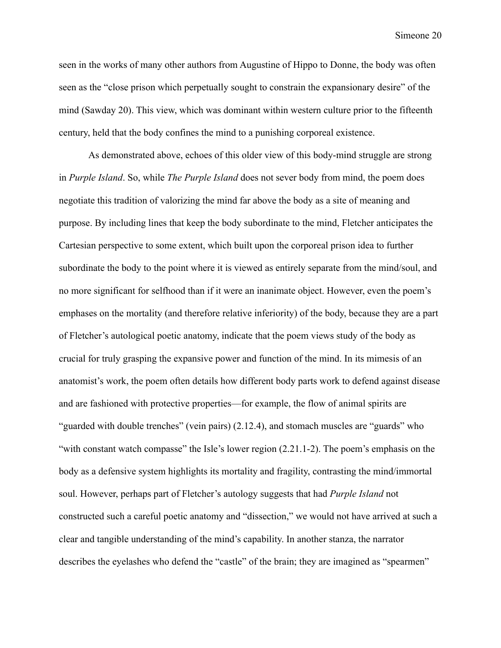seen in the works of many other authors from Augustine of Hippo to Donne, the body was often seen as the "close prison which perpetually sought to constrain the expansionary desire" of the mind (Sawday 20). This view, which was dominant within western culture prior to the fifteenth century, held that the body confines the mind to a punishing corporeal existence.

As demonstrated above, echoes of this older view of this body-mind struggle are strong in *Purple Island*. So, while *The Purple Island* does not sever body from mind, the poem does negotiate this tradition of valorizing the mind far above the body as a site of meaning and purpose. By including lines that keep the body subordinate to the mind, Fletcher anticipates the Cartesian perspective to some extent, which built upon the corporeal prison idea to further subordinate the body to the point where it is viewed as entirely separate from the mind/soul, and no more significant for selfhood than if it were an inanimate object. However, even the poem's emphases on the mortality (and therefore relative inferiority) of the body, because they are a part of Fletcher's autological poetic anatomy, indicate that the poem views study of the body as crucial for truly grasping the expansive power and function of the mind. In its mimesis of an anatomist's work, the poem often details how different body parts work to defend against disease and are fashioned with protective properties—for example, the flow of animal spirits are "guarded with double trenches" (vein pairs) (2.12.4), and stomach muscles are "guards" who "with constant watch compasse" the Isle's lower region (2.21.1-2). The poem's emphasis on the body as a defensive system highlights its mortality and fragility, contrasting the mind/immortal soul. However, perhaps part of Fletcher's autology suggests that had *Purple Island* not constructed such a careful poetic anatomy and "dissection," we would not have arrived at such a clear and tangible understanding of the mind's capability. In another stanza, the narrator describes the eyelashes who defend the "castle" of the brain; they are imagined as "spearmen"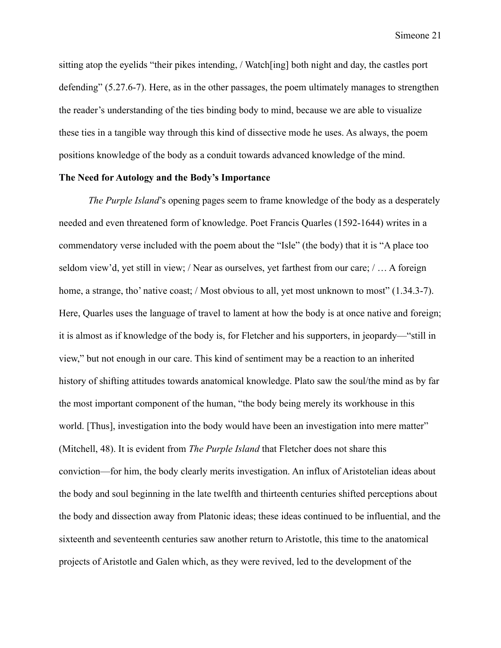sitting atop the eyelids "their pikes intending, / Watch[ing] both night and day, the castles port defending" (5.27.6-7). Here, as in the other passages, the poem ultimately manages to strengthen the reader's understanding of the ties binding body to mind, because we are able to visualize these ties in a tangible way through this kind of dissective mode he uses. As always, the poem positions knowledge of the body as a conduit towards advanced knowledge of the mind.

#### **The Need for Autology and the Body's Importance**

*The Purple Island*'s opening pages seem to frame knowledge of the body as a desperately needed and even threatened form of knowledge. Poet Francis Quarles (1592-1644) writes in a commendatory verse included with the poem about the "Isle" (the body) that it is "A place too seldom view'd, yet still in view; / Near as ourselves, yet farthest from our care; / … A foreign home, a strange, tho' native coast; / Most obvious to all, yet most unknown to most" (1.34.3-7). Here, Quarles uses the language of travel to lament at how the body is at once native and foreign; it is almost as if knowledge of the body is, for Fletcher and his supporters, in jeopardy—"still in view," but not enough in our care. This kind of sentiment may be a reaction to an inherited history of shifting attitudes towards anatomical knowledge. Plato saw the soul/the mind as by far the most important component of the human, "the body being merely its workhouse in this world. [Thus], investigation into the body would have been an investigation into mere matter" (Mitchell, 48). It is evident from *The Purple Island* that Fletcher does not share this conviction—for him, the body clearly merits investigation. An influx of Aristotelian ideas about the body and soul beginning in the late twelfth and thirteenth centuries shifted perceptions about the body and dissection away from Platonic ideas; these ideas continued to be influential, and the sixteenth and seventeenth centuries saw another return to Aristotle, this time to the anatomical projects of Aristotle and Galen which, as they were revived, led to the development of the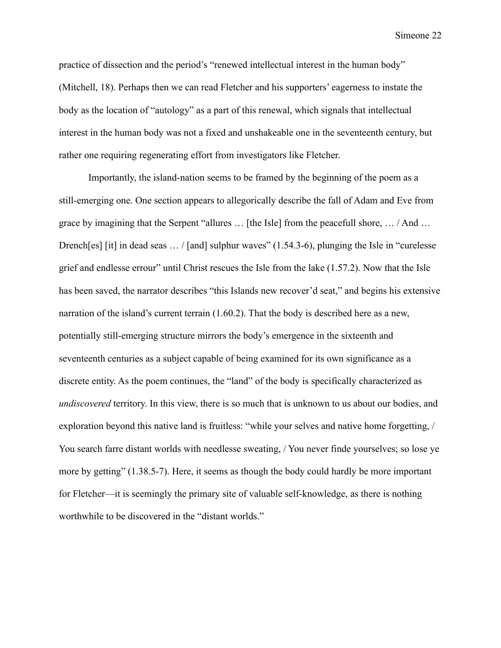practice of dissection and the period's "renewed intellectual interest in the human body" (Mitchell, 18). Perhaps then we can read Fletcher and his supporters' eagerness to instate the body as the location of "autology" as a part of this renewal, which signals that intellectual interest in the human body was not a fixed and unshakeable one in the seventeenth century, but rather one requiring regenerating effort from investigators like Fletcher.

Importantly, the island-nation seems to be framed by the beginning of the poem as a still-emerging one. One section appears to allegorically describe the fall of Adam and Eve from grace by imagining that the Serpent "allures … [the Isle] from the peacefull shore, … / And … Drench[es] [it] in dead seas ... / [and] sulphur waves" (1.54.3-6), plunging the Isle in "curelesse grief and endlesse errour" until Christ rescues the Isle from the lake (1.57.2). Now that the Isle has been saved, the narrator describes "this Islands new recover'd seat," and begins his extensive narration of the island's current terrain (1.60.2). That the body is described here as a new, potentially still-emerging structure mirrors the body's emergence in the sixteenth and seventeenth centuries as a subject capable of being examined for its own significance as a discrete entity. As the poem continues, the "land" of the body is specifically characterized as *undiscovered* territory. In this view, there is so much that is unknown to us about our bodies, and exploration beyond this native land is fruitless: "while your selves and native home forgetting, / You search farre distant worlds with needlesse sweating, / You never finde yourselves; so lose ye more by getting" (1.38.5-7). Here, it seems as though the body could hardly be more important for Fletcher—it is seemingly the primary site of valuable self-knowledge, as there is nothing worthwhile to be discovered in the "distant worlds."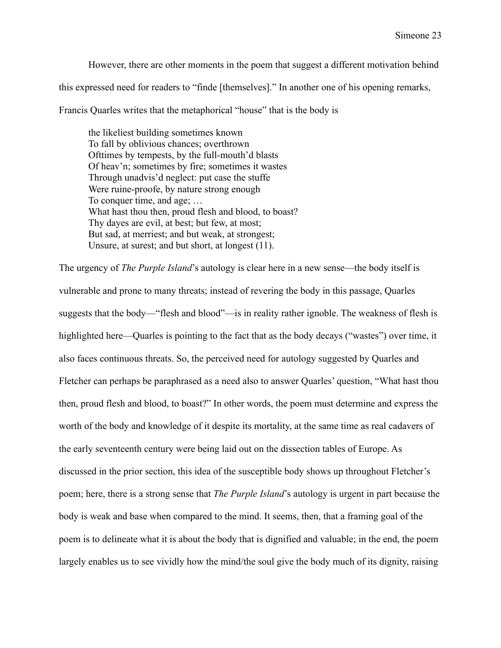However, there are other moments in the poem that suggest a different motivation behind this expressed need for readers to "finde [themselves]." In another one of his opening remarks,

Francis Quarles writes that the metaphorical "house" that is the body is

the likeliest building sometimes known To fall by oblivious chances; overthrown Ofttimes by tempests, by the full-mouth'd blasts Of heav'n; sometimes by fire; sometimes it wastes Through unadvis'd neglect: put case the stuffe Were ruine-proofe, by nature strong enough To conquer time, and age; … What hast thou then, proud flesh and blood, to boast? Thy dayes are evil, at best; but few, at most; But sad, at merriest; and but weak, at strongest; Unsure, at surest; and but short, at longest (11).

The urgency of *The Purple Island*'s autology is clear here in a new sense—the body itself is vulnerable and prone to many threats; instead of revering the body in this passage, Quarles suggests that the body—"flesh and blood"—is in reality rather ignoble. The weakness of flesh is highlighted here—Quarles is pointing to the fact that as the body decays ("wastes") over time, it also faces continuous threats. So, the perceived need for autology suggested by Quarles and Fletcher can perhaps be paraphrased as a need also to answer Quarles' question, "What hast thou then, proud flesh and blood, to boast?" In other words, the poem must determine and express the worth of the body and knowledge of it despite its mortality, at the same time as real cadavers of the early seventeenth century were being laid out on the dissection tables of Europe. As discussed in the prior section, this idea of the susceptible body shows up throughout Fletcher's poem; here, there is a strong sense that *The Purple Island*'s autology is urgent in part because the body is weak and base when compared to the mind. It seems, then, that a framing goal of the poem is to delineate what it is about the body that is dignified and valuable; in the end, the poem largely enables us to see vividly how the mind/the soul give the body much of its dignity, raising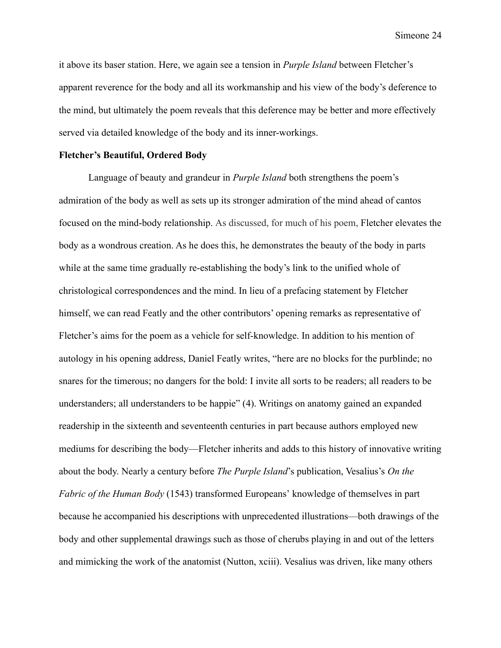it above its baser station. Here, we again see a tension in *Purple Island* between Fletcher's apparent reverence for the body and all its workmanship and his view of the body's deference to the mind, but ultimately the poem reveals that this deference may be better and more effectively served via detailed knowledge of the body and its inner-workings.

#### **Fletcher's Beautiful, Ordered Body**

Language of beauty and grandeur in *Purple Island* both strengthens the poem's admiration of the body as well as sets up its stronger admiration of the mind ahead of cantos focused on the mind-body relationship. As discussed, for much of his poem, Fletcher elevates the body as a wondrous creation. As he does this, he demonstrates the beauty of the body in parts while at the same time gradually re-establishing the body's link to the unified whole of christological correspondences and the mind. In lieu of a prefacing statement by Fletcher himself, we can read Featly and the other contributors' opening remarks as representative of Fletcher's aims for the poem as a vehicle for self-knowledge. In addition to his mention of autology in his opening address, Daniel Featly writes, "here are no blocks for the purblinde; no snares for the timerous; no dangers for the bold: I invite all sorts to be readers; all readers to be understanders; all understanders to be happie" (4). Writings on anatomy gained an expanded readership in the sixteenth and seventeenth centuries in part because authors employed new mediums for describing the body—Fletcher inherits and adds to this history of innovative writing about the body. Nearly a century before *The Purple Island*'s publication, Vesalius's *On the Fabric of the Human Body* (1543) transformed Europeans' knowledge of themselves in part because he accompanied his descriptions with unprecedented illustrations—both drawings of the body and other supplemental drawings such as those of cherubs playing in and out of the letters and mimicking the work of the anatomist (Nutton, xciii). Vesalius was driven, like many others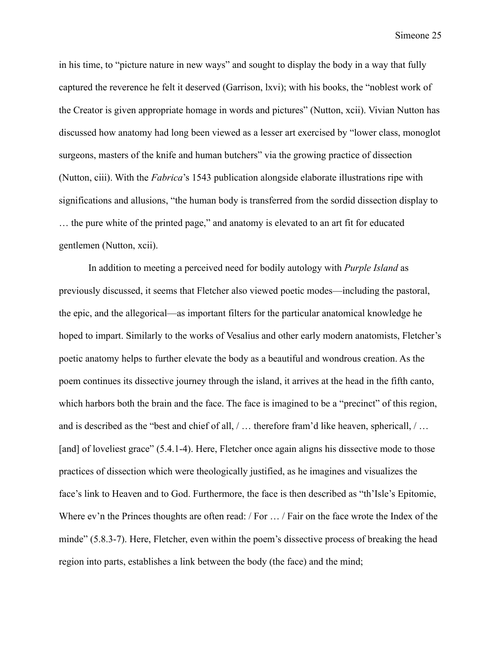in his time, to "picture nature in new ways" and sought to display the body in a way that fully captured the reverence he felt it deserved (Garrison, lxvi); with his books, the "noblest work of the Creator is given appropriate homage in words and pictures" (Nutton, xcii). Vivian Nutton has discussed how anatomy had long been viewed as a lesser art exercised by "lower class, monoglot surgeons, masters of the knife and human butchers" via the growing practice of dissection (Nutton, ciii). With the *Fabrica*'s 1543 publication alongside elaborate illustrations ripe with significations and allusions, "the human body is transferred from the sordid dissection display to … the pure white of the printed page," and anatomy is elevated to an art fit for educated gentlemen (Nutton, xcii).

In addition to meeting a perceived need for bodily autology with *Purple Island* as previously discussed, it seems that Fletcher also viewed poetic modes—including the pastoral, the epic, and the allegorical—as important filters for the particular anatomical knowledge he hoped to impart. Similarly to the works of Vesalius and other early modern anatomists, Fletcher's poetic anatomy helps to further elevate the body as a beautiful and wondrous creation. As the poem continues its dissective journey through the island, it arrives at the head in the fifth canto, which harbors both the brain and the face. The face is imagined to be a "precinct" of this region, and is described as the "best and chief of all, / … therefore fram'd like heaven, sphericall, / … [and] of loveliest grace" (5.4.1-4). Here, Fletcher once again aligns his dissective mode to those practices of dissection which were theologically justified, as he imagines and visualizes the face's link to Heaven and to God. Furthermore, the face is then described as "th'Isle's Epitomie, Where ev'n the Princes thoughts are often read: / For ... / Fair on the face wrote the Index of the minde" (5.8.3-7). Here, Fletcher, even within the poem's dissective process of breaking the head region into parts, establishes a link between the body (the face) and the mind;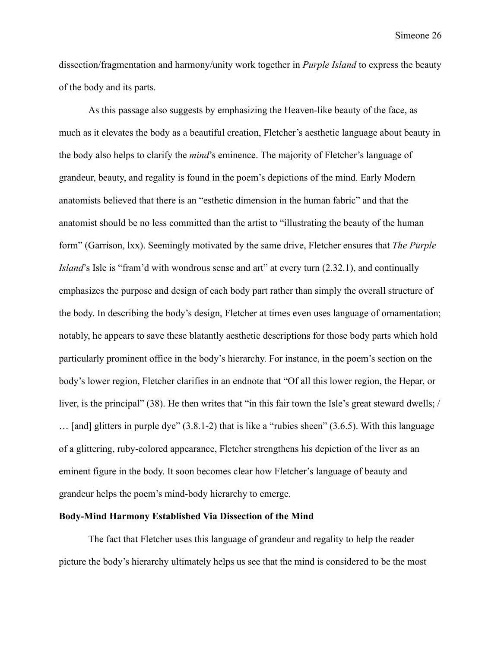dissection/fragmentation and harmony/unity work together in *Purple Island* to express the beauty of the body and its parts.

As this passage also suggests by emphasizing the Heaven-like beauty of the face, as much as it elevates the body as a beautiful creation, Fletcher's aesthetic language about beauty in the body also helps to clarify the *mind*'s eminence. The majority of Fletcher's language of grandeur, beauty, and regality is found in the poem's depictions of the mind. Early Modern anatomists believed that there is an "esthetic dimension in the human fabric" and that the anatomist should be no less committed than the artist to "illustrating the beauty of the human form" (Garrison, lxx). Seemingly motivated by the same drive, Fletcher ensures that *The Purple Island*'s Isle is "fram'd with wondrous sense and art" at every turn (2.32.1), and continually emphasizes the purpose and design of each body part rather than simply the overall structure of the body. In describing the body's design, Fletcher at times even uses language of ornamentation; notably, he appears to save these blatantly aesthetic descriptions for those body parts which hold particularly prominent office in the body's hierarchy. For instance, in the poem's section on the body's lower region, Fletcher clarifies in an endnote that "Of all this lower region, the Hepar, or liver, is the principal" (38). He then writes that "in this fair town the Isle's great steward dwells; / … [and] glitters in purple dye" (3.8.1-2) that is like a "rubies sheen" (3.6.5). With this language of a glittering, ruby-colored appearance, Fletcher strengthens his depiction of the liver as an eminent figure in the body. It soon becomes clear how Fletcher's language of beauty and grandeur helps the poem's mind-body hierarchy to emerge.

#### **Body-Mind Harmony Established Via Dissection of the Mind**

The fact that Fletcher uses this language of grandeur and regality to help the reader picture the body's hierarchy ultimately helps us see that the mind is considered to be the most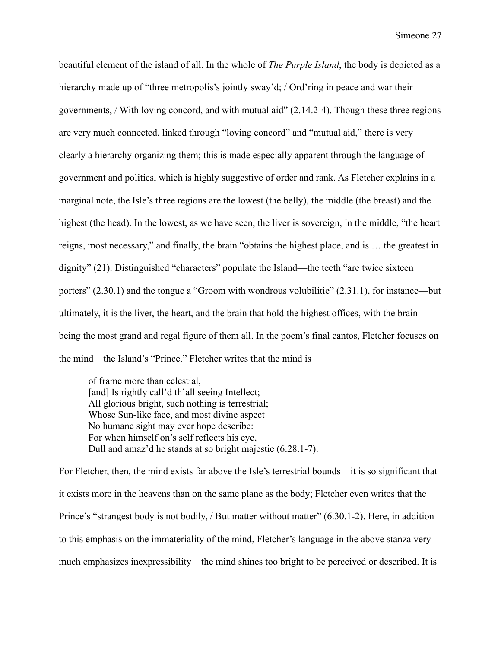beautiful element of the island of all. In the whole of *The Purple Island*, the body is depicted as a hierarchy made up of "three metropolis's jointly sway'd; / Ord'ring in peace and war their governments, / With loving concord, and with mutual aid" (2.14.2-4). Though these three regions are very much connected, linked through "loving concord" and "mutual aid," there is very clearly a hierarchy organizing them; this is made especially apparent through the language of government and politics, which is highly suggestive of order and rank. As Fletcher explains in a marginal note, the Isle's three regions are the lowest (the belly), the middle (the breast) and the highest (the head). In the lowest, as we have seen, the liver is sovereign, in the middle, "the heart reigns, most necessary," and finally, the brain "obtains the highest place, and is … the greatest in dignity" (21). Distinguished "characters" populate the Island—the teeth "are twice sixteen porters" (2.30.1) and the tongue a "Groom with wondrous volubilitie" (2.31.1), for instance—but ultimately, it is the liver, the heart, and the brain that hold the highest offices, with the brain being the most grand and regal figure of them all. In the poem's final cantos, Fletcher focuses on the mind—the Island's "Prince." Fletcher writes that the mind is

of frame more than celestial, [and] Is rightly call'd th'all seeing Intellect; All glorious bright, such nothing is terrestrial; Whose Sun-like face, and most divine aspect No humane sight may ever hope describe: For when himself on's self reflects his eye, Dull and amaz'd he stands at so bright majestie (6.28.1-7).

For Fletcher, then, the mind exists far above the Isle's terrestrial bounds—it is so significant that it exists more in the heavens than on the same plane as the body; Fletcher even writes that the Prince's "strangest body is not bodily, / But matter without matter" (6.30.1-2). Here, in addition to this emphasis on the immateriality of the mind, Fletcher's language in the above stanza very much emphasizes inexpressibility—the mind shines too bright to be perceived or described. It is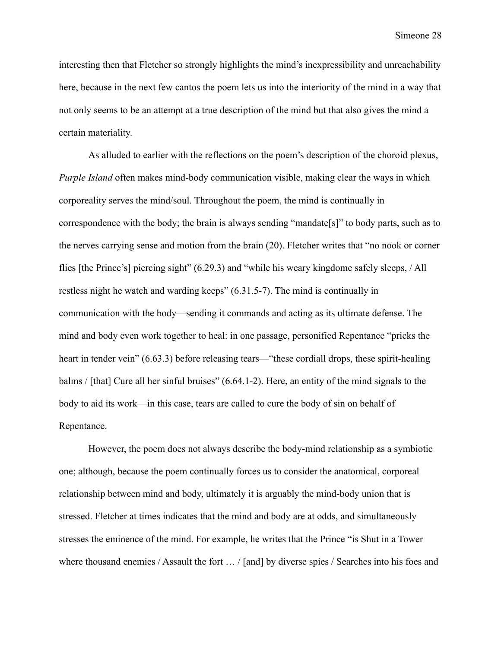interesting then that Fletcher so strongly highlights the mind's inexpressibility and unreachability here, because in the next few cantos the poem lets us into the interiority of the mind in a way that not only seems to be an attempt at a true description of the mind but that also gives the mind a certain materiality.

As alluded to earlier with the reflections on the poem's description of the choroid plexus, *Purple Island* often makes mind-body communication visible, making clear the ways in which corporeality serves the mind/soul. Throughout the poem, the mind is continually in correspondence with the body; the brain is always sending "mandate[s]" to body parts, such as to the nerves carrying sense and motion from the brain (20). Fletcher writes that "no nook or corner flies [the Prince's] piercing sight" (6.29.3) and "while his weary kingdome safely sleeps, / All restless night he watch and warding keeps" (6.31.5-7). The mind is continually in communication with the body—sending it commands and acting as its ultimate defense. The mind and body even work together to heal: in one passage, personified Repentance "pricks the heart in tender vein" (6.63.3) before releasing tears—"these cordiall drops, these spirit-healing balms / [that] Cure all her sinful bruises" (6.64.1-2). Here, an entity of the mind signals to the body to aid its work—in this case, tears are called to cure the body of sin on behalf of Repentance.

However, the poem does not always describe the body-mind relationship as a symbiotic one; although, because the poem continually forces us to consider the anatomical, corporeal relationship between mind and body, ultimately it is arguably the mind-body union that is stressed. Fletcher at times indicates that the mind and body are at odds, and simultaneously stresses the eminence of the mind. For example, he writes that the Prince "is Shut in a Tower where thousand enemies / Assault the fort ... / [and] by diverse spies / Searches into his foes and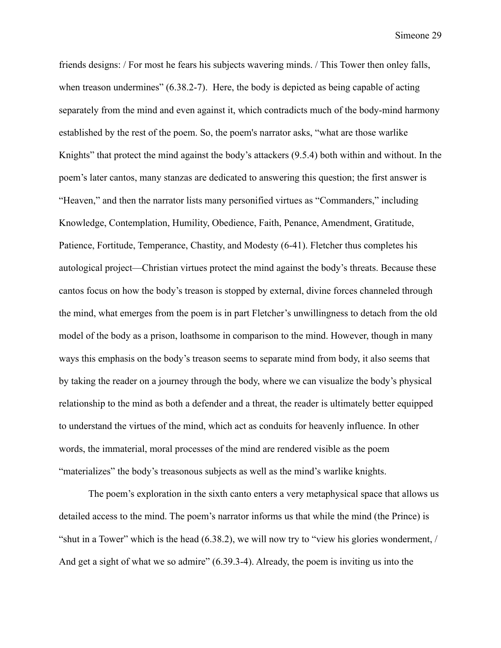friends designs: / For most he fears his subjects wavering minds. / This Tower then onley falls, when treason undermines" (6.38.2-7). Here, the body is depicted as being capable of acting separately from the mind and even against it, which contradicts much of the body-mind harmony established by the rest of the poem. So, the poem's narrator asks, "what are those warlike Knights" that protect the mind against the body's attackers (9.5.4) both within and without. In the poem's later cantos, many stanzas are dedicated to answering this question; the first answer is "Heaven," and then the narrator lists many personified virtues as "Commanders," including Knowledge, Contemplation, Humility, Obedience, Faith, Penance, Amendment, Gratitude, Patience, Fortitude, Temperance, Chastity, and Modesty (6-41). Fletcher thus completes his autological project—Christian virtues protect the mind against the body's threats. Because these cantos focus on how the body's treason is stopped by external, divine forces channeled through the mind, what emerges from the poem is in part Fletcher's unwillingness to detach from the old model of the body as a prison, loathsome in comparison to the mind. However, though in many ways this emphasis on the body's treason seems to separate mind from body, it also seems that by taking the reader on a journey through the body, where we can visualize the body's physical relationship to the mind as both a defender and a threat, the reader is ultimately better equipped to understand the virtues of the mind, which act as conduits for heavenly influence. In other words, the immaterial, moral processes of the mind are rendered visible as the poem "materializes" the body's treasonous subjects as well as the mind's warlike knights.

The poem's exploration in the sixth canto enters a very metaphysical space that allows us detailed access to the mind. The poem's narrator informs us that while the mind (the Prince) is "shut in a Tower" which is the head (6.38.2), we will now try to "view his glories wonderment, / And get a sight of what we so admire" (6.39.3-4). Already, the poem is inviting us into the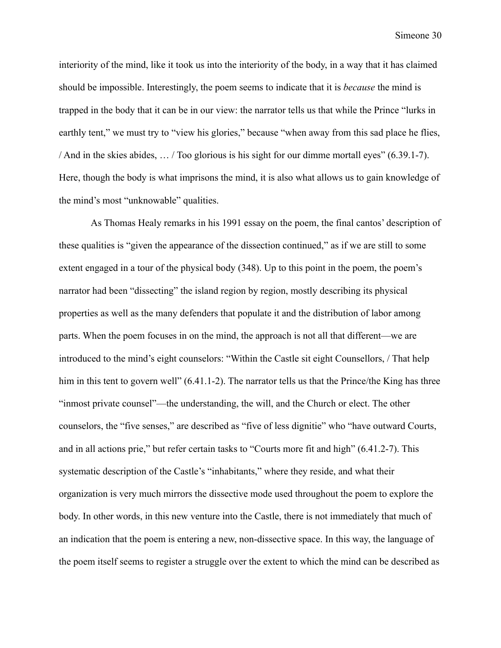interiority of the mind, like it took us into the interiority of the body, in a way that it has claimed should be impossible. Interestingly, the poem seems to indicate that it is *because* the mind is trapped in the body that it can be in our view: the narrator tells us that while the Prince "lurks in earthly tent," we must try to "view his glories," because "when away from this sad place he flies, / And in the skies abides, … / Too glorious is his sight for our dimme mortall eyes" (6.39.1-7). Here, though the body is what imprisons the mind, it is also what allows us to gain knowledge of the mind's most "unknowable" qualities.

As Thomas Healy remarks in his 1991 essay on the poem, the final cantos' description of these qualities is "given the appearance of the dissection continued," as if we are still to some extent engaged in a tour of the physical body (348). Up to this point in the poem, the poem's narrator had been "dissecting" the island region by region, mostly describing its physical properties as well as the many defenders that populate it and the distribution of labor among parts. When the poem focuses in on the mind, the approach is not all that different—we are introduced to the mind's eight counselors: "Within the Castle sit eight Counsellors, / That help him in this tent to govern well" (6.41.1-2). The narrator tells us that the Prince/the King has three "inmost private counsel"—the understanding, the will, and the Church or elect. The other counselors, the "five senses," are described as "five of less dignitie" who "have outward Courts, and in all actions prie," but refer certain tasks to "Courts more fit and high" (6.41.2-7). This systematic description of the Castle's "inhabitants," where they reside, and what their organization is very much mirrors the dissective mode used throughout the poem to explore the body. In other words, in this new venture into the Castle, there is not immediately that much of an indication that the poem is entering a new, non-dissective space. In this way, the language of the poem itself seems to register a struggle over the extent to which the mind can be described as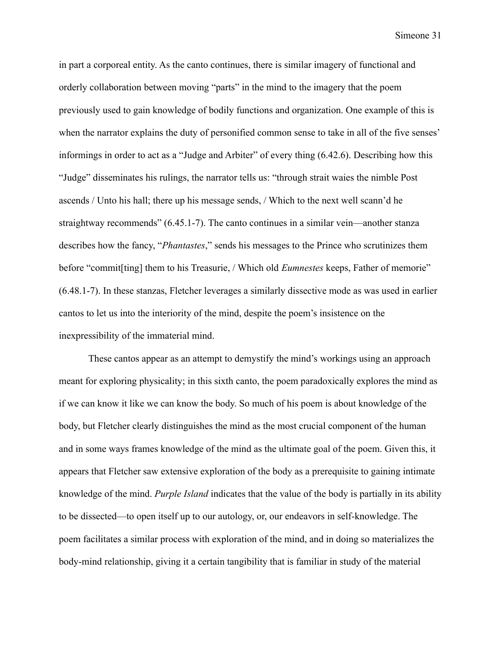in part a corporeal entity. As the canto continues, there is similar imagery of functional and orderly collaboration between moving "parts" in the mind to the imagery that the poem previously used to gain knowledge of bodily functions and organization. One example of this is when the narrator explains the duty of personified common sense to take in all of the five senses' informings in order to act as a "Judge and Arbiter" of every thing (6.42.6). Describing how this "Judge" disseminates his rulings, the narrator tells us: "through strait waies the nimble Post ascends / Unto his hall; there up his message sends, / Which to the next well scann'd he straightway recommends" (6.45.1-7). The canto continues in a similar vein—another stanza describes how the fancy, "*Phantastes*," sends his messages to the Prince who scrutinizes them before "commit[ting] them to his Treasurie, / Which old *Eumnestes* keeps, Father of memorie" (6.48.1-7). In these stanzas, Fletcher leverages a similarly dissective mode as was used in earlier cantos to let us into the interiority of the mind, despite the poem's insistence on the inexpressibility of the immaterial mind.

These cantos appear as an attempt to demystify the mind's workings using an approach meant for exploring physicality; in this sixth canto, the poem paradoxically explores the mind as if we can know it like we can know the body. So much of his poem is about knowledge of the body, but Fletcher clearly distinguishes the mind as the most crucial component of the human and in some ways frames knowledge of the mind as the ultimate goal of the poem. Given this, it appears that Fletcher saw extensive exploration of the body as a prerequisite to gaining intimate knowledge of the mind. *Purple Island* indicates that the value of the body is partially in its ability to be dissected—to open itself up to our autology, or, our endeavors in self-knowledge. The poem facilitates a similar process with exploration of the mind, and in doing so materializes the body-mind relationship, giving it a certain tangibility that is familiar in study of the material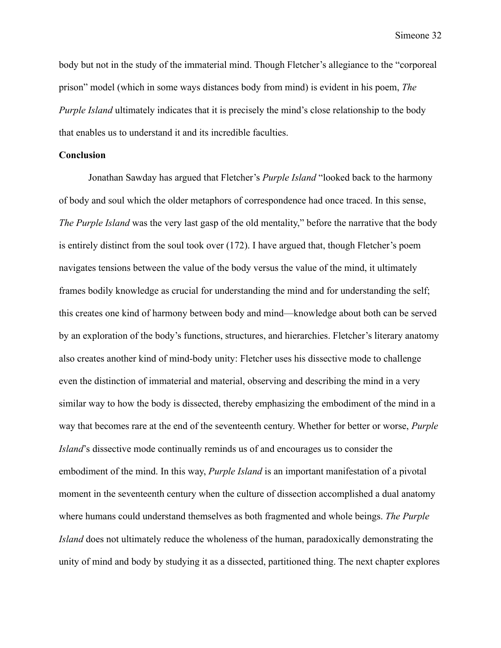body but not in the study of the immaterial mind. Though Fletcher's allegiance to the "corporeal prison" model (which in some ways distances body from mind) is evident in his poem, *The Purple Island* ultimately indicates that it is precisely the mind's close relationship to the body that enables us to understand it and its incredible faculties.

#### **Conclusion**

Jonathan Sawday has argued that Fletcher's *Purple Island* "looked back to the harmony of body and soul which the older metaphors of correspondence had once traced. In this sense, *The Purple Island* was the very last gasp of the old mentality," before the narrative that the body is entirely distinct from the soul took over (172). I have argued that, though Fletcher's poem navigates tensions between the value of the body versus the value of the mind, it ultimately frames bodily knowledge as crucial for understanding the mind and for understanding the self; this creates one kind of harmony between body and mind—knowledge about both can be served by an exploration of the body's functions, structures, and hierarchies. Fletcher's literary anatomy also creates another kind of mind-body unity: Fletcher uses his dissective mode to challenge even the distinction of immaterial and material, observing and describing the mind in a very similar way to how the body is dissected, thereby emphasizing the embodiment of the mind in a way that becomes rare at the end of the seventeenth century. Whether for better or worse, *Purple Island*'s dissective mode continually reminds us of and encourages us to consider the embodiment of the mind. In this way, *Purple Island* is an important manifestation of a pivotal moment in the seventeenth century when the culture of dissection accomplished a dual anatomy where humans could understand themselves as both fragmented and whole beings. *The Purple Island* does not ultimately reduce the wholeness of the human, paradoxically demonstrating the unity of mind and body by studying it as a dissected, partitioned thing. The next chapter explores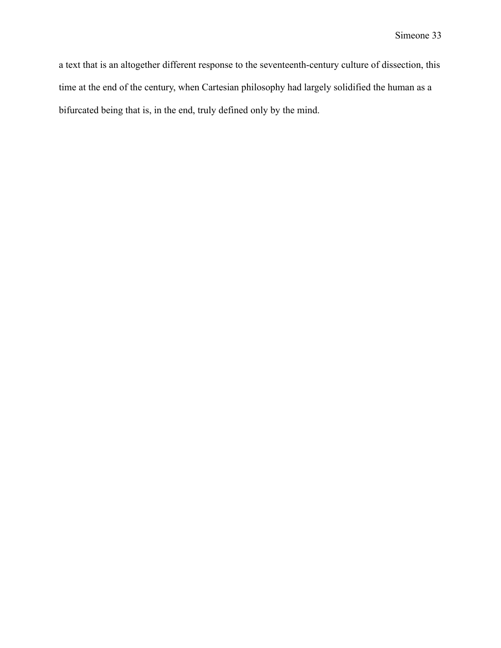a text that is an altogether different response to the seventeenth-century culture of dissection, this time at the end of the century, when Cartesian philosophy had largely solidified the human as a bifurcated being that is, in the end, truly defined only by the mind.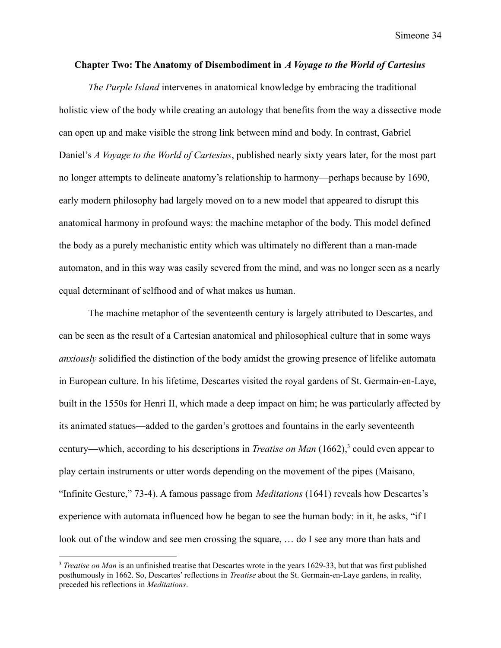#### **Chapter Two: The Anatomy of Disembodiment in** *A Voyage to the World of Cartesius*

*The Purple Island* intervenes in anatomical knowledge by embracing the traditional holistic view of the body while creating an autology that benefits from the way a dissective mode can open up and make visible the strong link between mind and body. In contrast, Gabriel Daniel's *A Voyage to the World of Cartesius*, published nearly sixty years later, for the most part no longer attempts to delineate anatomy's relationship to harmony—perhaps because by 1690, early modern philosophy had largely moved on to a new model that appeared to disrupt this anatomical harmony in profound ways: the machine metaphor of the body. This model defined the body as a purely mechanistic entity which was ultimately no different than a man-made automaton, and in this way was easily severed from the mind, and was no longer seen as a nearly equal determinant of selfhood and of what makes us human.

The machine metaphor of the seventeenth century is largely attributed to Descartes, and can be seen as the result of a Cartesian anatomical and philosophical culture that in some ways *anxiously* solidified the distinction of the body amidst the growing presence of lifelike automata in European culture. In his lifetime, Descartes visited the royal gardens of St. Germain-en-Laye, built in the 1550s for Henri II, which made a deep impact on him; he was particularly affected by its animated statues—added to the garden's grottoes and fountains in the early seventeenth century—which, according to his descriptions in *Treatise on Man* (1662),<sup>3</sup> could even appear to play certain instruments or utter words depending on the movement of the pipes (Maisano, "Infinite Gesture," 73-4). A famous passage from *Meditations* (1641) reveals how Descartes's experience with automata influenced how he began to see the human body: in it, he asks, "if I look out of the window and see men crossing the square, … do I see any more than hats and

<sup>3</sup> *Treatise on Man* is an unfinished treatise that Descartes wrote in the years 1629-33, but that was first published posthumously in 1662. So, Descartes' reflections in *Treatise* about the St. Germain-en-Laye gardens, in reality, preceded his reflections in *Meditations*.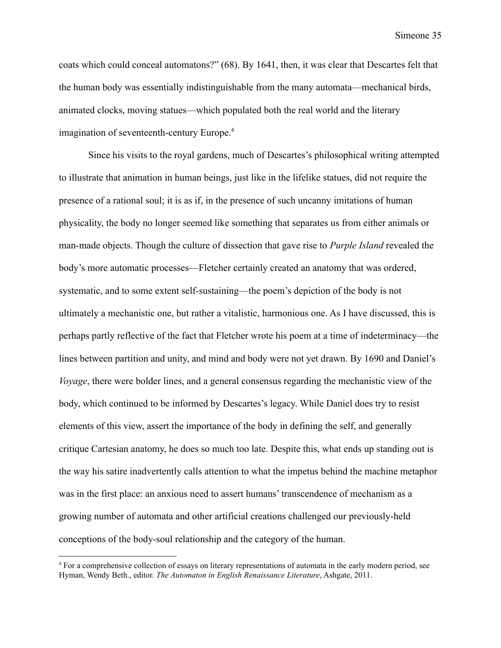coats which could conceal automatons?" (68). By 1641, then, it was clear that Descartes felt that the human body was essentially indistinguishable from the many automata—mechanical birds, animated clocks, moving statues—which populated both the real world and the literary imagination of seventeenth-century Europe.<sup>4</sup>

Since his visits to the royal gardens, much of Descartes's philosophical writing attempted to illustrate that animation in human beings, just like in the lifelike statues, did not require the presence of a rational soul; it is as if, in the presence of such uncanny imitations of human physicality, the body no longer seemed like something that separates us from either animals or man-made objects. Though the culture of dissection that gave rise to *Purple Island* revealed the body's more automatic processes—Fletcher certainly created an anatomy that was ordered, systematic, and to some extent self-sustaining—the poem's depiction of the body is not ultimately a mechanistic one, but rather a vitalistic, harmonious one. As I have discussed, this is perhaps partly reflective of the fact that Fletcher wrote his poem at a time of indeterminacy—the lines between partition and unity, and mind and body were not yet drawn. By 1690 and Daniel's *Voyage*, there were bolder lines, and a general consensus regarding the mechanistic view of the body, which continued to be informed by Descartes's legacy. While Daniel does try to resist elements of this view, assert the importance of the body in defining the self, and generally critique Cartesian anatomy, he does so much too late. Despite this, what ends up standing out is the way his satire inadvertently calls attention to what the impetus behind the machine metaphor was in the first place: an anxious need to assert humans' transcendence of mechanism as a growing number of automata and other artificial creations challenged our previously-held conceptions of the body-soul relationship and the category of the human.

<sup>4</sup> For a comprehensive collection of essays on literary representations of automata in the early modern period, see Hyman, Wendy Beth., editor. *The Automaton in English Renaissance Literature*, Ashgate, 2011.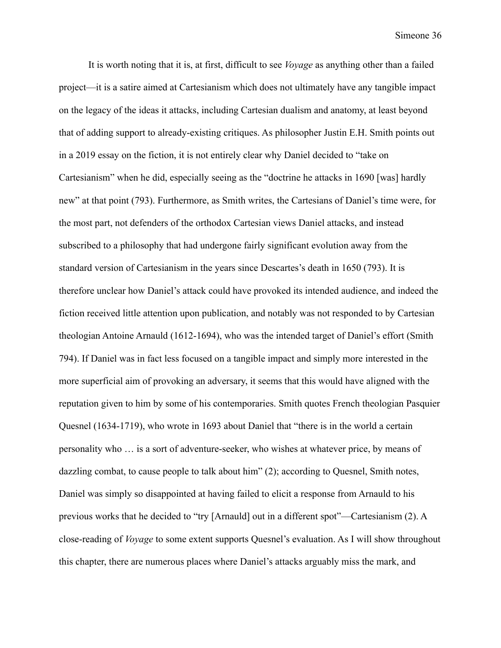It is worth noting that it is, at first, difficult to see *Voyage* as anything other than a failed project—it is a satire aimed at Cartesianism which does not ultimately have any tangible impact on the legacy of the ideas it attacks, including Cartesian dualism and anatomy, at least beyond that of adding support to already-existing critiques. As philosopher Justin E.H. Smith points out in a 2019 essay on the fiction, it is not entirely clear why Daniel decided to "take on Cartesianism" when he did, especially seeing as the "doctrine he attacks in 1690 [was] hardly new" at that point (793). Furthermore, as Smith writes, the Cartesians of Daniel's time were, for the most part, not defenders of the orthodox Cartesian views Daniel attacks, and instead subscribed to a philosophy that had undergone fairly significant evolution away from the standard version of Cartesianism in the years since Descartes's death in 1650 (793). It is therefore unclear how Daniel's attack could have provoked its intended audience, and indeed the fiction received little attention upon publication, and notably was not responded to by Cartesian theologian Antoine Arnauld (1612-1694), who was the intended target of Daniel's effort (Smith 794). If Daniel was in fact less focused on a tangible impact and simply more interested in the more superficial aim of provoking an adversary, it seems that this would have aligned with the reputation given to him by some of his contemporaries. Smith quotes French theologian Pasquier Quesnel (1634-1719), who wrote in 1693 about Daniel that "there is in the world a certain personality who … is a sort of adventure-seeker, who wishes at whatever price, by means of dazzling combat, to cause people to talk about him" (2); according to Quesnel, Smith notes, Daniel was simply so disappointed at having failed to elicit a response from Arnauld to his previous works that he decided to "try [Arnauld] out in a different spot"—Cartesianism (2). A close-reading of *Voyage* to some extent supports Quesnel's evaluation. As I will show throughout this chapter, there are numerous places where Daniel's attacks arguably miss the mark, and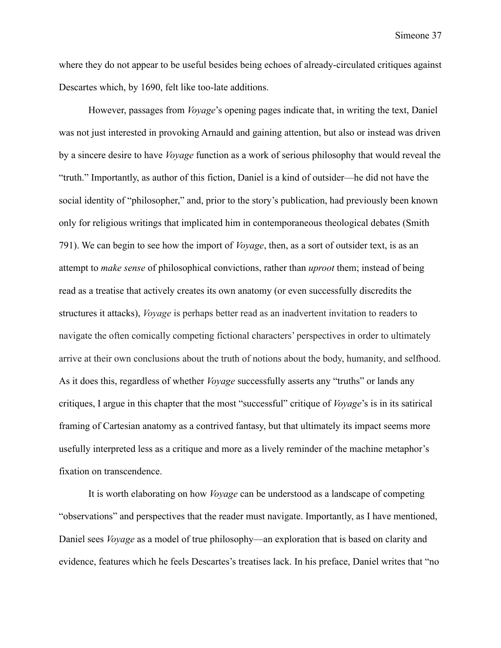where they do not appear to be useful besides being echoes of already-circulated critiques against Descartes which, by 1690, felt like too-late additions.

However, passages from *Voyage*'s opening pages indicate that, in writing the text, Daniel was not just interested in provoking Arnauld and gaining attention, but also or instead was driven by a sincere desire to have *Voyage* function as a work of serious philosophy that would reveal the "truth." Importantly, as author of this fiction, Daniel is a kind of outsider—he did not have the social identity of "philosopher," and, prior to the story's publication, had previously been known only for religious writings that implicated him in contemporaneous theological debates (Smith 791). We can begin to see how the import of *Voyage*, then, as a sort of outsider text, is as an attempt to *make sense* of philosophical convictions, rather than *uproot* them; instead of being read as a treatise that actively creates its own anatomy (or even successfully discredits the structures it attacks), *Voyage* is perhaps better read as an inadvertent invitation to readers to navigate the often comically competing fictional characters' perspectives in order to ultimately arrive at their own conclusions about the truth of notions about the body, humanity, and selfhood. As it does this, regardless of whether *Voyage* successfully asserts any "truths" or lands any critiques, I argue in this chapter that the most "successful" critique of *Voyage*'s is in its satirical framing of Cartesian anatomy as a contrived fantasy, but that ultimately its impact seems more usefully interpreted less as a critique and more as a lively reminder of the machine metaphor's fixation on transcendence.

It is worth elaborating on how *Voyage* can be understood as a landscape of competing "observations" and perspectives that the reader must navigate. Importantly, as I have mentioned, Daniel sees *Voyage* as a model of true philosophy—an exploration that is based on clarity and evidence, features which he feels Descartes's treatises lack. In his preface, Daniel writes that "no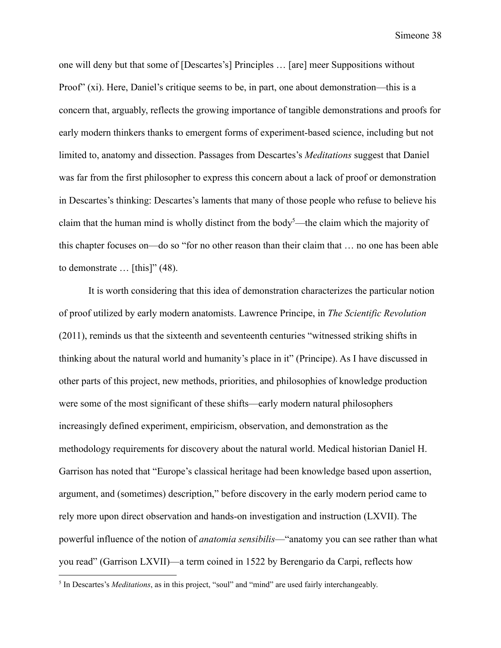one will deny but that some of [Descartes's] Principles … [are] meer Suppositions without Proof" (xi). Here, Daniel's critique seems to be, in part, one about demonstration—this is a concern that, arguably, reflects the growing importance of tangible demonstrations and proofs for early modern thinkers thanks to emergent forms of experiment-based science, including but not limited to, anatomy and dissection. Passages from Descartes's *Meditations* suggest that Daniel was far from the first philosopher to express this concern about a lack of proof or demonstration in Descartes's thinking: Descartes's laments that many of those people who refuse to believe his claim that the human mind is wholly distinct from the body<sup>5</sup>—the claim which the majority of this chapter focuses on—do so "for no other reason than their claim that … no one has been able to demonstrate  $\ldots$  [this]" (48).

It is worth considering that this idea of demonstration characterizes the particular notion of proof utilized by early modern anatomists. Lawrence Principe, in *The Scientific Revolution* (2011), reminds us that the sixteenth and seventeenth centuries "witnessed striking shifts in thinking about the natural world and humanity's place in it" (Principe). As I have discussed in other parts of this project, new methods, priorities, and philosophies of knowledge production were some of the most significant of these shifts—early modern natural philosophers increasingly defined experiment, empiricism, observation, and demonstration as the methodology requirements for discovery about the natural world. Medical historian Daniel H. Garrison has noted that "Europe's classical heritage had been knowledge based upon assertion, argument, and (sometimes) description," before discovery in the early modern period came to rely more upon direct observation and hands-on investigation and instruction (LXVII). The powerful influence of the notion of *anatomia sensibilis*—"anatomy you can see rather than what you read" (Garrison LXVII)—a term coined in 1522 by Berengario da Carpi, reflects how

<sup>5</sup> In Descartes's *Meditations*, as in this project, "soul" and "mind" are used fairly interchangeably.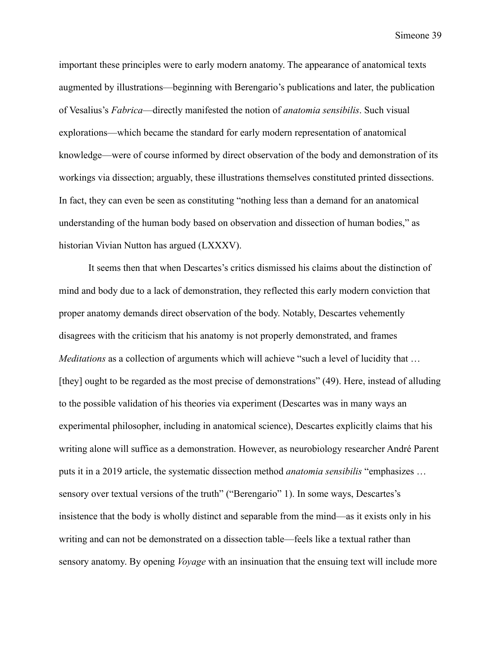important these principles were to early modern anatomy. The appearance of anatomical texts augmented by illustrations—beginning with Berengario's publications and later, the publication of Vesalius's *Fabrica*—directly manifested the notion of *anatomia sensibilis*. Such visual explorations—which became the standard for early modern representation of anatomical knowledge—were of course informed by direct observation of the body and demonstration of its workings via dissection; arguably, these illustrations themselves constituted printed dissections. In fact, they can even be seen as constituting "nothing less than a demand for an anatomical understanding of the human body based on observation and dissection of human bodies," as historian Vivian Nutton has argued (LXXXV).

It seems then that when Descartes's critics dismissed his claims about the distinction of mind and body due to a lack of demonstration, they reflected this early modern conviction that proper anatomy demands direct observation of the body. Notably, Descartes vehemently disagrees with the criticism that his anatomy is not properly demonstrated, and frames *Meditations* as a collection of arguments which will achieve "such a level of lucidity that ... [they] ought to be regarded as the most precise of demonstrations" (49). Here, instead of alluding to the possible validation of his theories via experiment (Descartes was in many ways an experimental philosopher, including in anatomical science), Descartes explicitly claims that his writing alone will suffice as a demonstration. However, as neurobiology researcher André Parent puts it in a 2019 article, the systematic dissection method *anatomia sensibilis* "emphasizes … sensory over textual versions of the truth" ("Berengario" 1). In some ways, Descartes's insistence that the body is wholly distinct and separable from the mind—as it exists only in his writing and can not be demonstrated on a dissection table—feels like a textual rather than sensory anatomy. By opening *Voyage* with an insinuation that the ensuing text will include more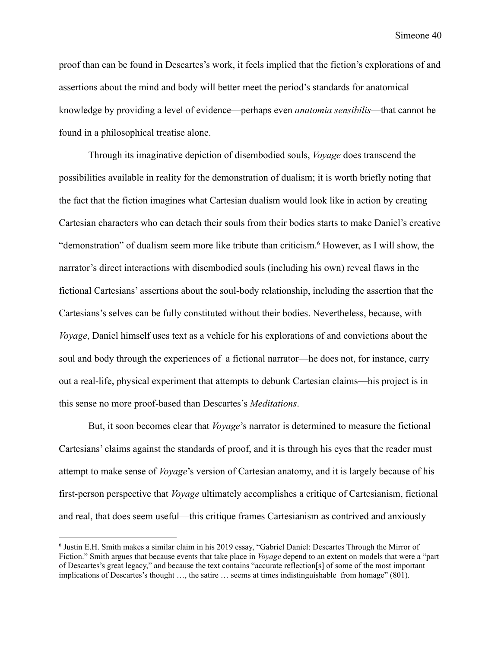proof than can be found in Descartes's work, it feels implied that the fiction's explorations of and assertions about the mind and body will better meet the period's standards for anatomical knowledge by providing a level of evidence—perhaps even *anatomia sensibilis*—that cannot be found in a philosophical treatise alone.

Through its imaginative depiction of disembodied souls, *Voyage* does transcend the possibilities available in reality for the demonstration of dualism; it is worth briefly noting that the fact that the fiction imagines what Cartesian dualism would look like in action by creating Cartesian characters who can detach their souls from their bodies starts to make Daniel's creative "demonstration" of dualism seem more like tribute than criticism.<sup>6</sup> However, as I will show, the narrator's direct interactions with disembodied souls (including his own) reveal flaws in the fictional Cartesians' assertions about the soul-body relationship, including the assertion that the Cartesians's selves can be fully constituted without their bodies. Nevertheless, because, with *Voyage*, Daniel himself uses text as a vehicle for his explorations of and convictions about the soul and body through the experiences of a fictional narrator—he does not, for instance, carry out a real-life, physical experiment that attempts to debunk Cartesian claims—his project is in this sense no more proof-based than Descartes's *Meditations*.

But, it soon becomes clear that *Voyage*'s narrator is determined to measure the fictional Cartesians' claims against the standards of proof, and it is through his eyes that the reader must attempt to make sense of *Voyage*'s version of Cartesian anatomy, and it is largely because of his first-person perspective that *Voyage* ultimately accomplishes a critique of Cartesianism, fictional and real, that does seem useful—this critique frames Cartesianism as contrived and anxiously

<sup>6</sup> Justin E.H. Smith makes a similar claim in his 2019 essay, "Gabriel Daniel: Descartes Through the Mirror of Fiction." Smith argues that because events that take place in *Voyage* depend to an extent on models that were a "part of Descartes's great legacy," and because the text contains "accurate reflection[s] of some of the most important implications of Descartes's thought …, the satire … seems at times indistinguishable from homage" (801).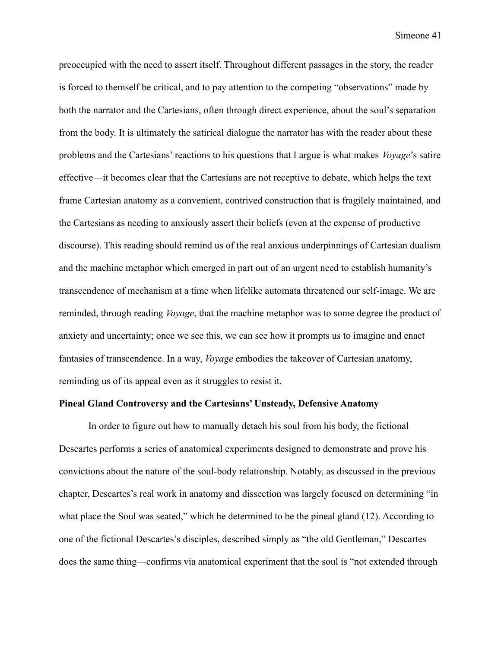preoccupied with the need to assert itself. Throughout different passages in the story, the reader is forced to themself be critical, and to pay attention to the competing "observations" made by both the narrator and the Cartesians, often through direct experience, about the soul's separation from the body. It is ultimately the satirical dialogue the narrator has with the reader about these problems and the Cartesians' reactions to his questions that I argue is what makes *Voyage*'s satire effective—it becomes clear that the Cartesians are not receptive to debate, which helps the text frame Cartesian anatomy as a convenient, contrived construction that is fragilely maintained, and the Cartesians as needing to anxiously assert their beliefs (even at the expense of productive discourse). This reading should remind us of the real anxious underpinnings of Cartesian dualism and the machine metaphor which emerged in part out of an urgent need to establish humanity's transcendence of mechanism at a time when lifelike automata threatened our self-image. We are reminded, through reading *Voyage*, that the machine metaphor was to some degree the product of anxiety and uncertainty; once we see this, we can see how it prompts us to imagine and enact fantasies of transcendence. In a way, *Voyage* embodies the takeover of Cartesian anatomy, reminding us of its appeal even as it struggles to resist it.

#### **Pineal Gland Controversy and the Cartesians' Unsteady, Defensive Anatomy**

In order to figure out how to manually detach his soul from his body, the fictional Descartes performs a series of anatomical experiments designed to demonstrate and prove his convictions about the nature of the soul-body relationship. Notably, as discussed in the previous chapter, Descartes's real work in anatomy and dissection was largely focused on determining "in what place the Soul was seated," which he determined to be the pineal gland (12). According to one of the fictional Descartes's disciples, described simply as "the old Gentleman," Descartes does the same thing—confirms via anatomical experiment that the soul is "not extended through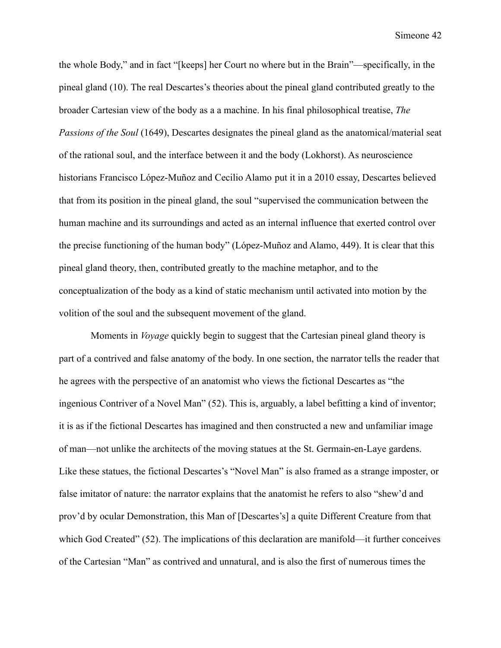the whole Body," and in fact "[keeps] her Court no where but in the Brain"—specifically, in the pineal gland (10). The real Descartes's theories about the pineal gland contributed greatly to the broader Cartesian view of the body as a a machine. In his final philosophical treatise, *The Passions of the Soul* (1649), Descartes designates the pineal gland as the anatomical/material seat of the rational soul, and the interface between it and the body (Lokhorst). As neuroscience historians Francisco López-Muñoz and Cecilio Alamo put it in a 2010 essay, Descartes believed that from its position in the pineal gland, the soul "supervised the communication between the human machine and its surroundings and acted as an internal influence that exerted control over the precise functioning of the human body" (López-Muñoz and Alamo, 449). It is clear that this pineal gland theory, then, contributed greatly to the machine metaphor, and to the conceptualization of the body as a kind of static mechanism until activated into motion by the volition of the soul and the subsequent movement of the gland.

Moments in *Voyage* quickly begin to suggest that the Cartesian pineal gland theory is part of a contrived and false anatomy of the body. In one section, the narrator tells the reader that he agrees with the perspective of an anatomist who views the fictional Descartes as "the ingenious Contriver of a Novel Man" (52). This is, arguably, a label befitting a kind of inventor; it is as if the fictional Descartes has imagined and then constructed a new and unfamiliar image of man—not unlike the architects of the moving statues at the St. Germain-en-Laye gardens. Like these statues, the fictional Descartes's "Novel Man" is also framed as a strange imposter, or false imitator of nature: the narrator explains that the anatomist he refers to also "shew'd and prov'd by ocular Demonstration, this Man of [Descartes's] a quite Different Creature from that which God Created" (52). The implications of this declaration are manifold—it further conceives of the Cartesian "Man" as contrived and unnatural, and is also the first of numerous times the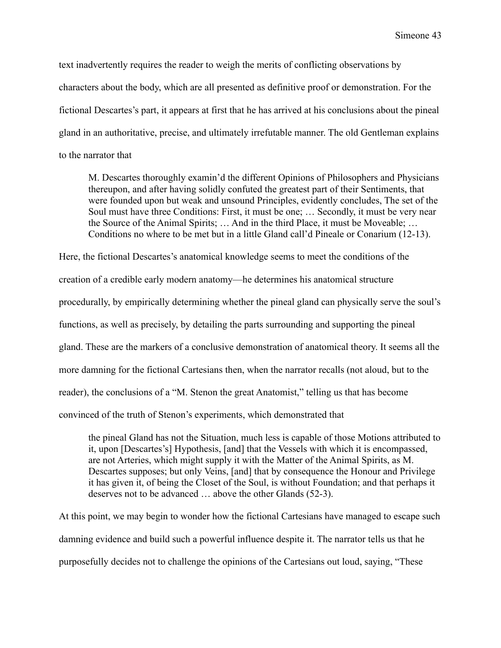text inadvertently requires the reader to weigh the merits of conflicting observations by characters about the body, which are all presented as definitive proof or demonstration. For the fictional Descartes's part, it appears at first that he has arrived at his conclusions about the pineal gland in an authoritative, precise, and ultimately irrefutable manner. The old Gentleman explains to the narrator that

M. Descartes thoroughly examin'd the different Opinions of Philosophers and Physicians thereupon, and after having solidly confuted the greatest part of their Sentiments, that were founded upon but weak and unsound Principles, evidently concludes, The set of the Soul must have three Conditions: First, it must be one; … Secondly, it must be very near the Source of the Animal Spirits; … And in the third Place, it must be Moveable; … Conditions no where to be met but in a little Gland call'd Pineale or Conarium (12-13).

Here, the fictional Descartes's anatomical knowledge seems to meet the conditions of the creation of a credible early modern anatomy—he determines his anatomical structure procedurally, by empirically determining whether the pineal gland can physically serve the soul's functions, as well as precisely, by detailing the parts surrounding and supporting the pineal gland. These are the markers of a conclusive demonstration of anatomical theory. It seems all the more damning for the fictional Cartesians then, when the narrator recalls (not aloud, but to the reader), the conclusions of a "M. Stenon the great Anatomist," telling us that has become convinced of the truth of Stenon's experiments, which demonstrated that

the pineal Gland has not the Situation, much less is capable of those Motions attributed to it, upon [Descartes's] Hypothesis, [and] that the Vessels with which it is encompassed, are not Arteries, which might supply it with the Matter of the Animal Spirits, as M. Descartes supposes; but only Veins, [and] that by consequence the Honour and Privilege it has given it, of being the Closet of the Soul, is without Foundation; and that perhaps it deserves not to be advanced … above the other Glands (52-3).

At this point, we may begin to wonder how the fictional Cartesians have managed to escape such damning evidence and build such a powerful influence despite it. The narrator tells us that he purposefully decides not to challenge the opinions of the Cartesians out loud, saying, "These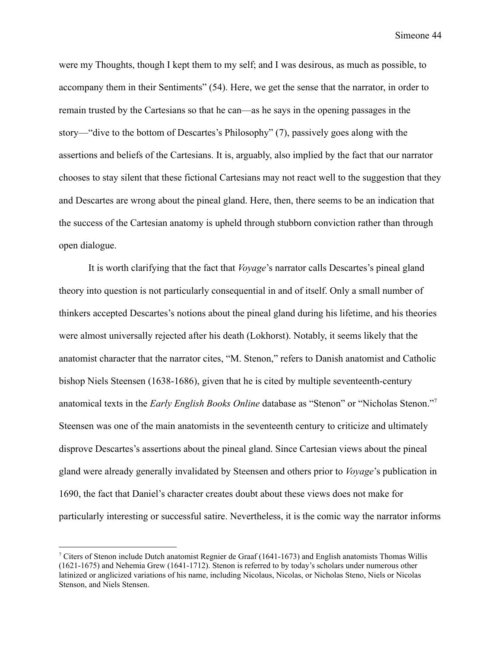were my Thoughts, though I kept them to my self; and I was desirous, as much as possible, to accompany them in their Sentiments" (54). Here, we get the sense that the narrator, in order to remain trusted by the Cartesians so that he can—as he says in the opening passages in the story—"dive to the bottom of Descartes's Philosophy" (7), passively goes along with the assertions and beliefs of the Cartesians. It is, arguably, also implied by the fact that our narrator chooses to stay silent that these fictional Cartesians may not react well to the suggestion that they and Descartes are wrong about the pineal gland. Here, then, there seems to be an indication that the success of the Cartesian anatomy is upheld through stubborn conviction rather than through open dialogue.

It is worth clarifying that the fact that *Voyage*'s narrator calls Descartes's pineal gland theory into question is not particularly consequential in and of itself. Only a small number of thinkers accepted Descartes's notions about the pineal gland during his lifetime, and his theories were almost universally rejected after his death (Lokhorst). Notably, it seems likely that the anatomist character that the narrator cites, "M. Stenon," refers to Danish anatomist and Catholic bishop Niels Steensen (1638-1686), given that he is cited by multiple seventeenth-century anatomical texts in the *Early English Books Online* database as "Stenon" or "Nicholas Stenon."<sup>7</sup> Steensen was one of the main anatomists in the seventeenth century to criticize and ultimately disprove Descartes's assertions about the pineal gland. Since Cartesian views about the pineal gland were already generally invalidated by Steensen and others prior to *Voyage*'s publication in 1690, the fact that Daniel's character creates doubt about these views does not make for particularly interesting or successful satire. Nevertheless, it is the comic way the narrator informs

<sup>&</sup>lt;sup>7</sup> Citers of Stenon include Dutch anatomist Regnier de Graaf (1641-1673) and English anatomists Thomas Willis (1621-1675) and Nehemia Grew (1641-1712). Stenon is referred to by today's scholars under numerous other latinized or anglicized variations of his name, including Nicolaus, Nicolas, or Nicholas Steno, Niels or Nicolas Stenson, and Niels Stensen.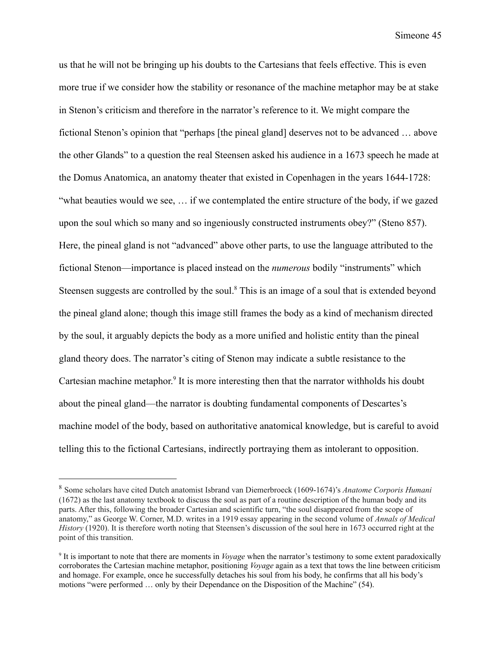us that he will not be bringing up his doubts to the Cartesians that feels effective. This is even more true if we consider how the stability or resonance of the machine metaphor may be at stake in Stenon's criticism and therefore in the narrator's reference to it. We might compare the fictional Stenon's opinion that "perhaps [the pineal gland] deserves not to be advanced … above the other Glands" to a question the real Steensen asked his audience in a 1673 speech he made at the Domus Anatomica, an anatomy theater that existed in Copenhagen in the years 1644-1728: "what beauties would we see, … if we contemplated the entire structure of the body, if we gazed upon the soul which so many and so ingeniously constructed instruments obey?" (Steno 857). Here, the pineal gland is not "advanced" above other parts, to use the language attributed to the fictional Stenon—importance is placed instead on the *numerous* bodily "instruments" which Steensen suggests are controlled by the soul.<sup>8</sup> This is an image of a soul that is extended beyond the pineal gland alone; though this image still frames the body as a kind of mechanism directed by the soul, it arguably depicts the body as a more unified and holistic entity than the pineal gland theory does. The narrator's citing of Stenon may indicate a subtle resistance to the Cartesian machine metaphor. 9 It is more interesting then that the narrator withholds his doubt about the pineal gland—the narrator is doubting fundamental components of Descartes's machine model of the body, based on authoritative anatomical knowledge, but is careful to avoid telling this to the fictional Cartesians, indirectly portraying them as intolerant to opposition.

<sup>8</sup> Some scholars have cited Dutch anatomist Isbrand van Diemerbroeck (1609-1674)'s *Anatome Corporis Humani* (1672) as the last anatomy textbook to discuss the soul as part of a routine description of the human body and its parts. After this, following the broader Cartesian and scientific turn, "the soul disappeared from the scope of anatomy," as George W. Corner, M.D. writes in a 1919 essay appearing in the second volume of *Annals of Medical History* (1920). It is therefore worth noting that Steensen's discussion of the soul here in 1673 occurred right at the point of this transition.

<sup>9</sup> It is important to note that there are moments in *Voyage* when the narrator's testimony to some extent paradoxically corroborates the Cartesian machine metaphor, positioning *Voyage* again as a text that tows the line between criticism and homage. For example, once he successfully detaches his soul from his body, he confirms that all his body's motions "were performed … only by their Dependance on the Disposition of the Machine" (54).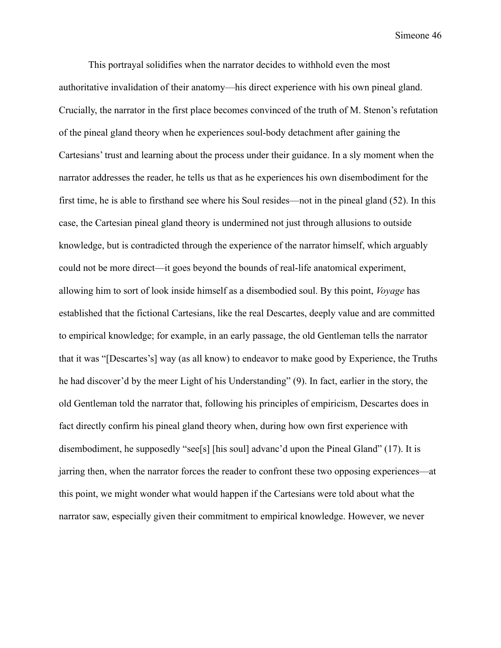This portrayal solidifies when the narrator decides to withhold even the most authoritative invalidation of their anatomy—his direct experience with his own pineal gland. Crucially, the narrator in the first place becomes convinced of the truth of M. Stenon's refutation of the pineal gland theory when he experiences soul-body detachment after gaining the Cartesians' trust and learning about the process under their guidance. In a sly moment when the narrator addresses the reader, he tells us that as he experiences his own disembodiment for the first time, he is able to firsthand see where his Soul resides—not in the pineal gland (52). In this case, the Cartesian pineal gland theory is undermined not just through allusions to outside knowledge, but is contradicted through the experience of the narrator himself, which arguably could not be more direct—it goes beyond the bounds of real-life anatomical experiment, allowing him to sort of look inside himself as a disembodied soul. By this point, *Voyage* has established that the fictional Cartesians, like the real Descartes, deeply value and are committed to empirical knowledge; for example, in an early passage, the old Gentleman tells the narrator that it was "[Descartes's] way (as all know) to endeavor to make good by Experience, the Truths he had discover'd by the meer Light of his Understanding" (9). In fact, earlier in the story, the old Gentleman told the narrator that, following his principles of empiricism, Descartes does in fact directly confirm his pineal gland theory when, during how own first experience with disembodiment, he supposedly "see[s] [his soul] advanc'd upon the Pineal Gland" (17). It is jarring then, when the narrator forces the reader to confront these two opposing experiences—at this point, we might wonder what would happen if the Cartesians were told about what the narrator saw, especially given their commitment to empirical knowledge. However, we never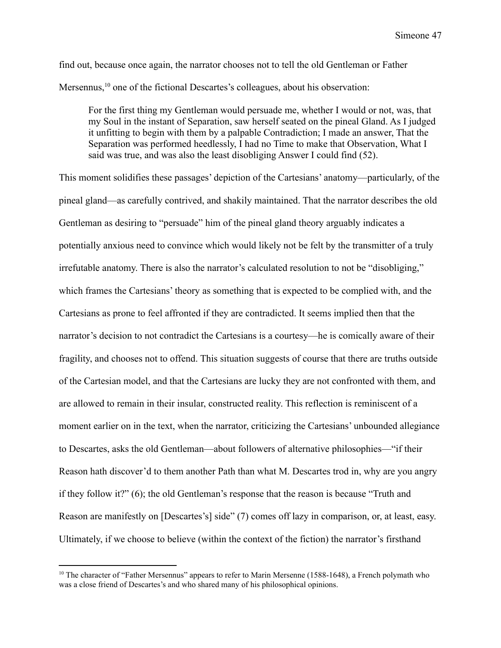find out, because once again, the narrator chooses not to tell the old Gentleman or Father Mersennus,<sup>10</sup> one of the fictional Descartes's colleagues, about his observation:

For the first thing my Gentleman would persuade me, whether I would or not, was, that my Soul in the instant of Separation, saw herself seated on the pineal Gland. As I judged it unfitting to begin with them by a palpable Contradiction; I made an answer, That the Separation was performed heedlessly, I had no Time to make that Observation, What I said was true, and was also the least disobliging Answer I could find (52).

This moment solidifies these passages' depiction of the Cartesians' anatomy—particularly, of the pineal gland—as carefully contrived, and shakily maintained. That the narrator describes the old Gentleman as desiring to "persuade" him of the pineal gland theory arguably indicates a potentially anxious need to convince which would likely not be felt by the transmitter of a truly irrefutable anatomy. There is also the narrator's calculated resolution to not be "disobliging," which frames the Cartesians' theory as something that is expected to be complied with, and the Cartesians as prone to feel affronted if they are contradicted. It seems implied then that the narrator's decision to not contradict the Cartesians is a courtesy—he is comically aware of their fragility, and chooses not to offend. This situation suggests of course that there are truths outside of the Cartesian model, and that the Cartesians are lucky they are not confronted with them, and are allowed to remain in their insular, constructed reality. This reflection is reminiscent of a moment earlier on in the text, when the narrator, criticizing the Cartesians' unbounded allegiance to Descartes, asks the old Gentleman—about followers of alternative philosophies—"if their Reason hath discover'd to them another Path than what M. Descartes trod in, why are you angry if they follow it?" (6); the old Gentleman's response that the reason is because "Truth and Reason are manifestly on [Descartes's] side" (7) comes off lazy in comparison, or, at least, easy. Ultimately, if we choose to believe (within the context of the fiction) the narrator's firsthand

<sup>&</sup>lt;sup>10</sup> The character of "Father Mersennus" appears to refer to Marin Mersenne (1588-1648), a French polymath who was a close friend of Descartes's and who shared many of his philosophical opinions.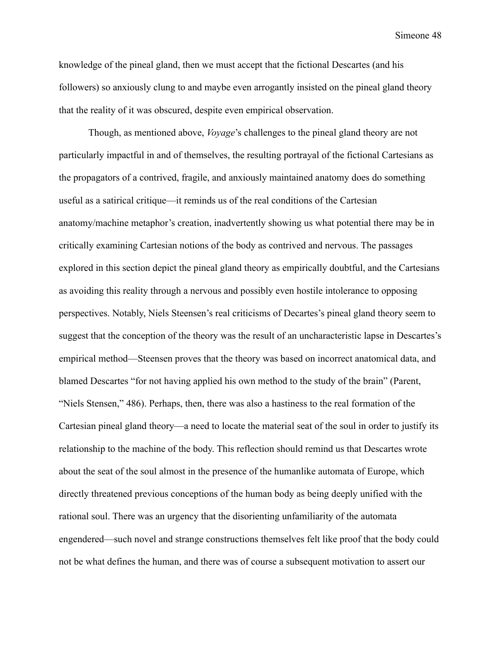knowledge of the pineal gland, then we must accept that the fictional Descartes (and his followers) so anxiously clung to and maybe even arrogantly insisted on the pineal gland theory that the reality of it was obscured, despite even empirical observation.

Though, as mentioned above, *Voyage*'s challenges to the pineal gland theory are not particularly impactful in and of themselves, the resulting portrayal of the fictional Cartesians as the propagators of a contrived, fragile, and anxiously maintained anatomy does do something useful as a satirical critique—it reminds us of the real conditions of the Cartesian anatomy/machine metaphor's creation, inadvertently showing us what potential there may be in critically examining Cartesian notions of the body as contrived and nervous. The passages explored in this section depict the pineal gland theory as empirically doubtful, and the Cartesians as avoiding this reality through a nervous and possibly even hostile intolerance to opposing perspectives. Notably, Niels Steensen's real criticisms of Decartes's pineal gland theory seem to suggest that the conception of the theory was the result of an uncharacteristic lapse in Descartes's empirical method—Steensen proves that the theory was based on incorrect anatomical data, and blamed Descartes "for not having applied his own method to the study of the brain" (Parent, "Niels Stensen," 486). Perhaps, then, there was also a hastiness to the real formation of the Cartesian pineal gland theory—a need to locate the material seat of the soul in order to justify its relationship to the machine of the body. This reflection should remind us that Descartes wrote about the seat of the soul almost in the presence of the humanlike automata of Europe, which directly threatened previous conceptions of the human body as being deeply unified with the rational soul. There was an urgency that the disorienting unfamiliarity of the automata engendered—such novel and strange constructions themselves felt like proof that the body could not be what defines the human, and there was of course a subsequent motivation to assert our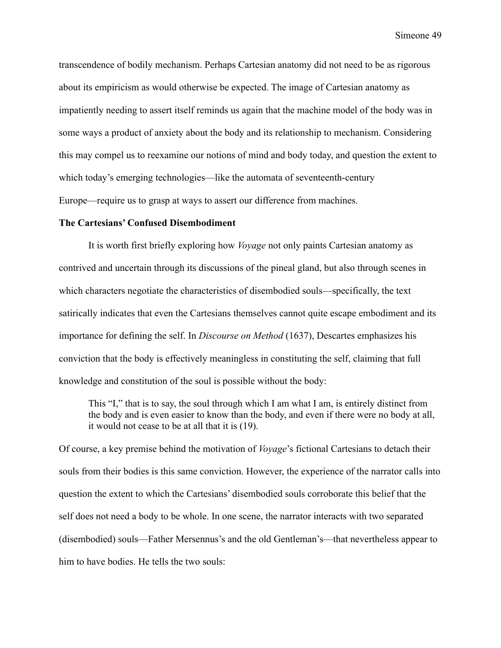transcendence of bodily mechanism. Perhaps Cartesian anatomy did not need to be as rigorous about its empiricism as would otherwise be expected. The image of Cartesian anatomy as impatiently needing to assert itself reminds us again that the machine model of the body was in some ways a product of anxiety about the body and its relationship to mechanism. Considering this may compel us to reexamine our notions of mind and body today, and question the extent to which today's emerging technologies—like the automata of seventeenth-century Europe—require us to grasp at ways to assert our difference from machines.

#### **The Cartesians' Confused Disembodiment**

It is worth first briefly exploring how *Voyage* not only paints Cartesian anatomy as contrived and uncertain through its discussions of the pineal gland, but also through scenes in which characters negotiate the characteristics of disembodied souls—specifically, the text satirically indicates that even the Cartesians themselves cannot quite escape embodiment and its importance for defining the self. In *Discourse on Method* (1637), Descartes emphasizes his conviction that the body is effectively meaningless in constituting the self, claiming that full knowledge and constitution of the soul is possible without the body:

This "I," that is to say, the soul through which I am what I am, is entirely distinct from the body and is even easier to know than the body, and even if there were no body at all, it would not cease to be at all that it is (19).

Of course, a key premise behind the motivation of *Voyage*'s fictional Cartesians to detach their souls from their bodies is this same conviction. However, the experience of the narrator calls into question the extent to which the Cartesians' disembodied souls corroborate this belief that the self does not need a body to be whole. In one scene, the narrator interacts with two separated (disembodied) souls—Father Mersennus's and the old Gentleman's—that nevertheless appear to him to have bodies. He tells the two souls: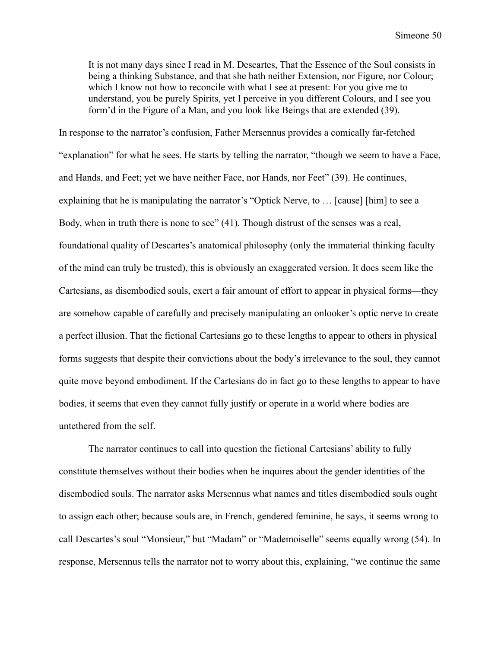It is not many days since I read in M. Descartes, That the Essence of the Soul consists in being a thinking Substance, and that she hath neither Extension, nor Figure, nor Colour; which I know not how to reconcile with what I see at present: For you give me to understand, you be purely Spirits, yet I perceive in you different Colours, and I see you form'd in the Figure of a Man, and you look like Beings that are extended (39).

In response to the narrator's confusion, Father Mersennus provides a comically far-fetched "explanation" for what he sees. He starts by telling the narrator, "though we seem to have a Face, and Hands, and Feet; yet we have neither Face, nor Hands, nor Feet" (39). He continues, explaining that he is manipulating the narrator's "Optick Nerve, to … [cause] [him] to see a Body, when in truth there is none to see" (41). Though distrust of the senses was a real, foundational quality of Descartes's anatomical philosophy (only the immaterial thinking faculty of the mind can truly be trusted), this is obviously an exaggerated version. It does seem like the Cartesians, as disembodied souls, exert a fair amount of effort to appear in physical forms—they are somehow capable of carefully and precisely manipulating an onlooker's optic nerve to create a perfect illusion. That the fictional Cartesians go to these lengths to appear to others in physical forms suggests that despite their convictions about the body's irrelevance to the soul, they cannot quite move beyond embodiment. If the Cartesians do in fact go to these lengths to appear to have bodies, it seems that even they cannot fully justify or operate in a world where bodies are untethered from the self.

The narrator continues to call into question the fictional Cartesians' ability to fully constitute themselves without their bodies when he inquires about the gender identities of the disembodied souls. The narrator asks Mersennus what names and titles disembodied souls ought to assign each other; because souls are, in French, gendered feminine, he says, it seems wrong to call Descartes's soul "Monsieur," but "Madam" or "Mademoiselle" seems equally wrong (54). In response, Mersennus tells the narrator not to worry about this, explaining, "we continue the same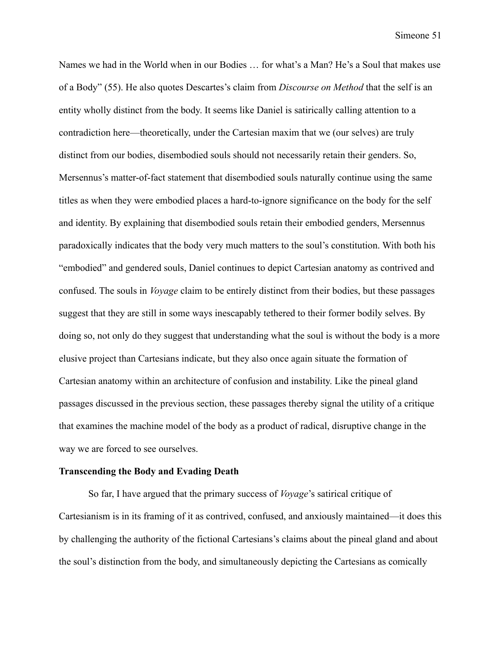Names we had in the World when in our Bodies … for what's a Man? He's a Soul that makes use of a Body" (55). He also quotes Descartes's claim from *Discourse on Method* that the self is an entity wholly distinct from the body. It seems like Daniel is satirically calling attention to a contradiction here—theoretically, under the Cartesian maxim that we (our selves) are truly distinct from our bodies, disembodied souls should not necessarily retain their genders. So, Mersennus's matter-of-fact statement that disembodied souls naturally continue using the same titles as when they were embodied places a hard-to-ignore significance on the body for the self and identity. By explaining that disembodied souls retain their embodied genders, Mersennus paradoxically indicates that the body very much matters to the soul's constitution. With both his "embodied" and gendered souls, Daniel continues to depict Cartesian anatomy as contrived and confused. The souls in *Voyage* claim to be entirely distinct from their bodies, but these passages suggest that they are still in some ways inescapably tethered to their former bodily selves. By doing so, not only do they suggest that understanding what the soul is without the body is a more elusive project than Cartesians indicate, but they also once again situate the formation of Cartesian anatomy within an architecture of confusion and instability. Like the pineal gland passages discussed in the previous section, these passages thereby signal the utility of a critique that examines the machine model of the body as a product of radical, disruptive change in the way we are forced to see ourselves.

#### **Transcending the Body and Evading Death**

So far, I have argued that the primary success of *Voyage*'s satirical critique of Cartesianism is in its framing of it as contrived, confused, and anxiously maintained—it does this by challenging the authority of the fictional Cartesians's claims about the pineal gland and about the soul's distinction from the body, and simultaneously depicting the Cartesians as comically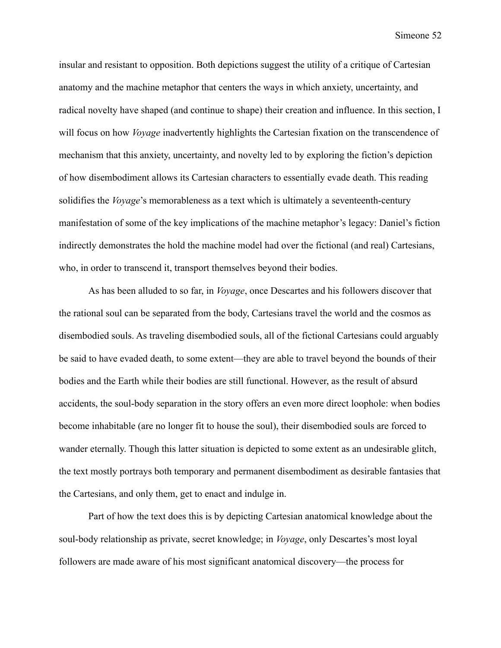insular and resistant to opposition. Both depictions suggest the utility of a critique of Cartesian anatomy and the machine metaphor that centers the ways in which anxiety, uncertainty, and radical novelty have shaped (and continue to shape) their creation and influence. In this section, I will focus on how *Voyage* inadvertently highlights the Cartesian fixation on the transcendence of mechanism that this anxiety, uncertainty, and novelty led to by exploring the fiction's depiction of how disembodiment allows its Cartesian characters to essentially evade death. This reading solidifies the *Voyage*'s memorableness as a text which is ultimately a seventeenth-century manifestation of some of the key implications of the machine metaphor's legacy: Daniel's fiction indirectly demonstrates the hold the machine model had over the fictional (and real) Cartesians, who, in order to transcend it, transport themselves beyond their bodies.

As has been alluded to so far, in *Voyage*, once Descartes and his followers discover that the rational soul can be separated from the body, Cartesians travel the world and the cosmos as disembodied souls. As traveling disembodied souls, all of the fictional Cartesians could arguably be said to have evaded death, to some extent—they are able to travel beyond the bounds of their bodies and the Earth while their bodies are still functional. However, as the result of absurd accidents, the soul-body separation in the story offers an even more direct loophole: when bodies become inhabitable (are no longer fit to house the soul), their disembodied souls are forced to wander eternally. Though this latter situation is depicted to some extent as an undesirable glitch, the text mostly portrays both temporary and permanent disembodiment as desirable fantasies that the Cartesians, and only them, get to enact and indulge in.

Part of how the text does this is by depicting Cartesian anatomical knowledge about the soul-body relationship as private, secret knowledge; in *Voyage*, only Descartes's most loyal followers are made aware of his most significant anatomical discovery—the process for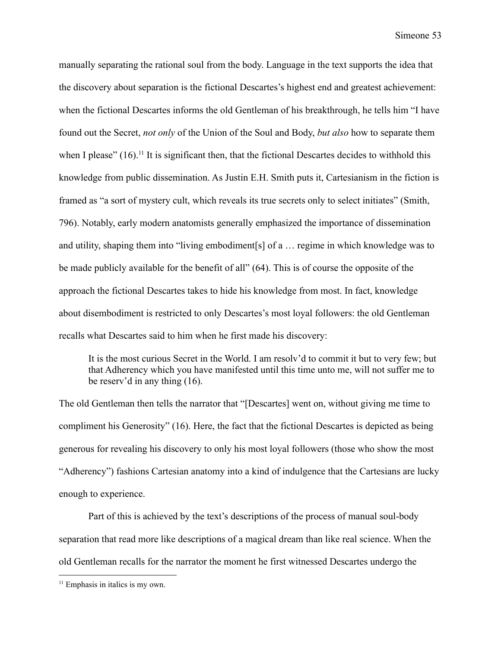manually separating the rational soul from the body. Language in the text supports the idea that the discovery about separation is the fictional Descartes's highest end and greatest achievement: when the fictional Descartes informs the old Gentleman of his breakthrough, he tells him "I have found out the Secret, *not only* of the Union of the Soul and Body, *but also* how to separate them when I please"  $(16)$ .<sup>11</sup> It is significant then, that the fictional Descartes decides to withhold this knowledge from public dissemination. As Justin E.H. Smith puts it, Cartesianism in the fiction is framed as "a sort of mystery cult, which reveals its true secrets only to select initiates" (Smith, 796). Notably, early modern anatomists generally emphasized the importance of dissemination and utility, shaping them into "living embodiment[s] of a … regime in which knowledge was to be made publicly available for the benefit of all" (64). This is of course the opposite of the approach the fictional Descartes takes to hide his knowledge from most. In fact, knowledge about disembodiment is restricted to only Descartes's most loyal followers: the old Gentleman recalls what Descartes said to him when he first made his discovery:

It is the most curious Secret in the World. I am resolv'd to commit it but to very few; but that Adherency which you have manifested until this time unto me, will not suffer me to be reserv'd in any thing (16).

The old Gentleman then tells the narrator that "[Descartes] went on, without giving me time to compliment his Generosity" (16). Here, the fact that the fictional Descartes is depicted as being generous for revealing his discovery to only his most loyal followers (those who show the most "Adherency") fashions Cartesian anatomy into a kind of indulgence that the Cartesians are lucky enough to experience.

Part of this is achieved by the text's descriptions of the process of manual soul-body separation that read more like descriptions of a magical dream than like real science. When the old Gentleman recalls for the narrator the moment he first witnessed Descartes undergo the

 $11$  Emphasis in italics is my own.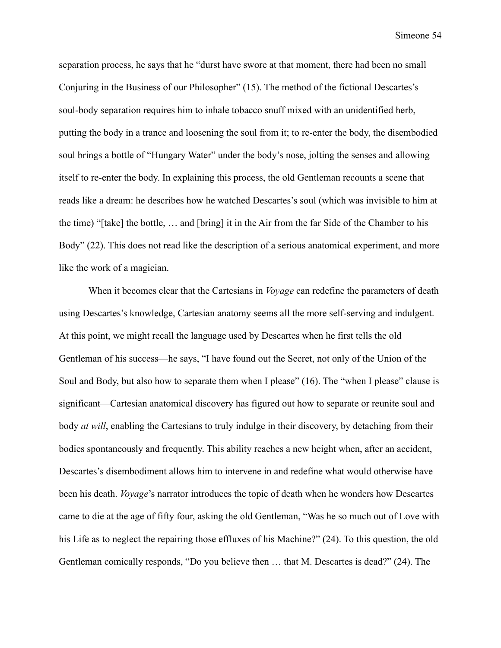separation process, he says that he "durst have swore at that moment, there had been no small Conjuring in the Business of our Philosopher" (15). The method of the fictional Descartes's soul-body separation requires him to inhale tobacco snuff mixed with an unidentified herb, putting the body in a trance and loosening the soul from it; to re-enter the body, the disembodied soul brings a bottle of "Hungary Water" under the body's nose, jolting the senses and allowing itself to re-enter the body. In explaining this process, the old Gentleman recounts a scene that reads like a dream: he describes how he watched Descartes's soul (which was invisible to him at the time) "[take] the bottle, … and [bring] it in the Air from the far Side of the Chamber to his Body" (22). This does not read like the description of a serious anatomical experiment, and more like the work of a magician.

When it becomes clear that the Cartesians in *Voyage* can redefine the parameters of death using Descartes's knowledge, Cartesian anatomy seems all the more self-serving and indulgent. At this point, we might recall the language used by Descartes when he first tells the old Gentleman of his success—he says, "I have found out the Secret, not only of the Union of the Soul and Body, but also how to separate them when I please" (16). The "when I please" clause is significant—Cartesian anatomical discovery has figured out how to separate or reunite soul and body *at will*, enabling the Cartesians to truly indulge in their discovery, by detaching from their bodies spontaneously and frequently. This ability reaches a new height when, after an accident, Descartes's disembodiment allows him to intervene in and redefine what would otherwise have been his death. *Voyage*'s narrator introduces the topic of death when he wonders how Descartes came to die at the age of fifty four, asking the old Gentleman, "Was he so much out of Love with his Life as to neglect the repairing those effluxes of his Machine?" (24). To this question, the old Gentleman comically responds, "Do you believe then … that M. Descartes is dead?" (24). The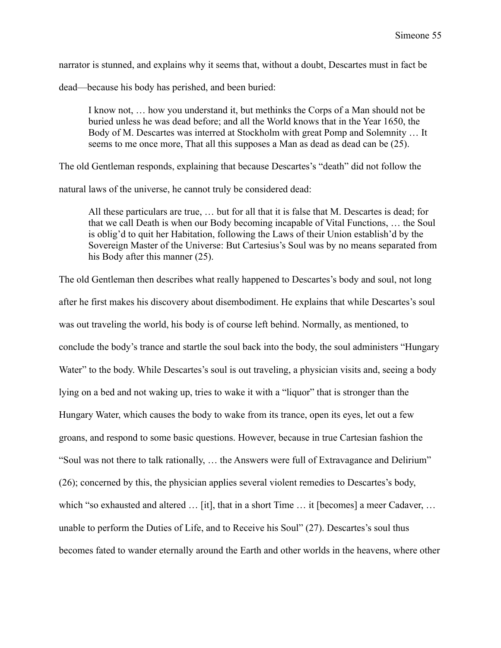narrator is stunned, and explains why it seems that, without a doubt, Descartes must in fact be

dead—because his body has perished, and been buried:

I know not, … how you understand it, but methinks the Corps of a Man should not be buried unless he was dead before; and all the World knows that in the Year 1650, the Body of M. Descartes was interred at Stockholm with great Pomp and Solemnity … It seems to me once more, That all this supposes a Man as dead as dead can be  $(25)$ .

The old Gentleman responds, explaining that because Descartes's "death" did not follow the

natural laws of the universe, he cannot truly be considered dead:

All these particulars are true, … but for all that it is false that M. Descartes is dead; for that we call Death is when our Body becoming incapable of Vital Functions, … the Soul is oblig'd to quit her Habitation, following the Laws of their Union establish'd by the Sovereign Master of the Universe: But Cartesius's Soul was by no means separated from his Body after this manner (25).

The old Gentleman then describes what really happened to Descartes's body and soul, not long after he first makes his discovery about disembodiment. He explains that while Descartes's soul was out traveling the world, his body is of course left behind. Normally, as mentioned, to conclude the body's trance and startle the soul back into the body, the soul administers "Hungary Water" to the body. While Descartes's soul is out traveling, a physician visits and, seeing a body lying on a bed and not waking up, tries to wake it with a "liquor" that is stronger than the Hungary Water, which causes the body to wake from its trance, open its eyes, let out a few groans, and respond to some basic questions. However, because in true Cartesian fashion the "Soul was not there to talk rationally, … the Answers were full of Extravagance and Delirium" (26); concerned by this, the physician applies several violent remedies to Descartes's body, which "so exhausted and altered ... [it], that in a short Time ... it [becomes] a meer Cadaver, ... unable to perform the Duties of Life, and to Receive his Soul" (27). Descartes's soul thus becomes fated to wander eternally around the Earth and other worlds in the heavens, where other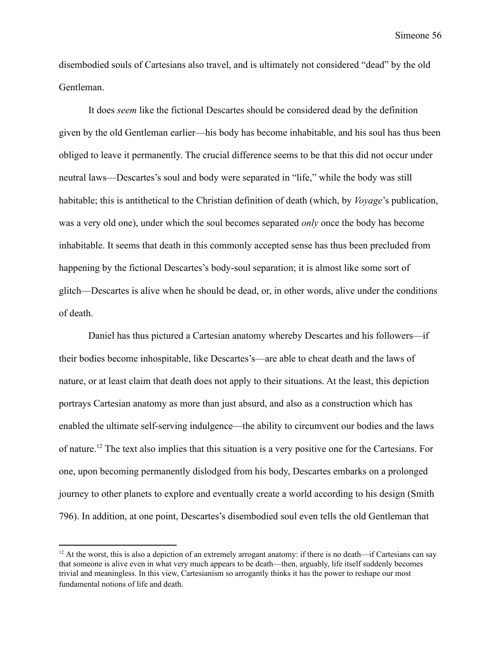disembodied souls of Cartesians also travel, and is ultimately not considered "dead" by the old Gentleman.

It does *seem* like the fictional Descartes should be considered dead by the definition given by the old Gentleman earlier—his body has become inhabitable, and his soul has thus been obliged to leave it permanently. The crucial difference seems to be that this did not occur under neutral laws—Descartes's soul and body were separated in "life," while the body was still habitable; this is antithetical to the Christian definition of death (which, by *Voyage*'s publication, was a very old one), under which the soul becomes separated *only* once the body has become inhabitable. It seems that death in this commonly accepted sense has thus been precluded from happening by the fictional Descartes's body-soul separation; it is almost like some sort of glitch—Descartes is alive when he should be dead, or, in other words, alive under the conditions of death.

Daniel has thus pictured a Cartesian anatomy whereby Descartes and his followers—if their bodies become inhospitable, like Descartes's—are able to cheat death and the laws of nature, or at least claim that death does not apply to their situations. At the least, this depiction portrays Cartesian anatomy as more than just absurd, and also as a construction which has enabled the ultimate self-serving indulgence—the ability to circumvent our bodies and the laws of nature.<sup>12</sup> The text also implies that this situation is a very positive one for the Cartesians. For one, upon becoming permanently dislodged from his body, Descartes embarks on a prolonged journey to other planets to explore and eventually create a world according to his design (Smith 796). In addition, at one point, Descartes's disembodied soul even tells the old Gentleman that

 $12$  At the worst, this is also a depiction of an extremely arrogant anatomy: if there is no death—if Cartesians can say that someone is alive even in what very much appears to be death—then, arguably, life itself suddenly becomes trivial and meaningless. In this view, Cartesianism so arrogantly thinks it has the power to reshape our most fundamental notions of life and death.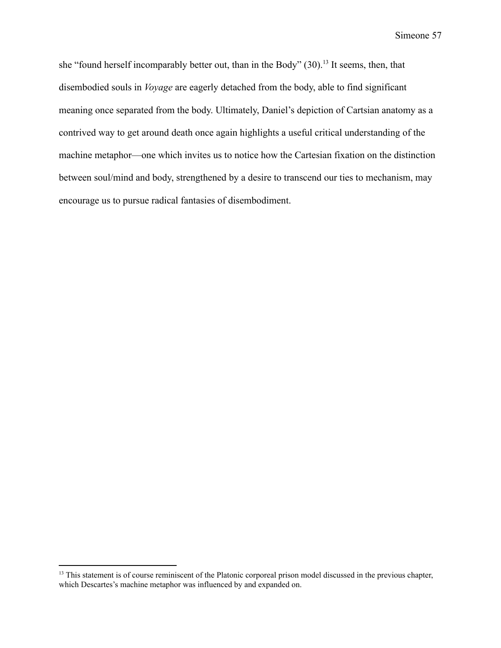she "found herself incomparably better out, than in the Body" (30).<sup>13</sup> It seems, then, that disembodied souls in *Voyage* are eagerly detached from the body, able to find significant meaning once separated from the body. Ultimately, Daniel's depiction of Cartsian anatomy as a contrived way to get around death once again highlights a useful critical understanding of the machine metaphor—one which invites us to notice how the Cartesian fixation on the distinction between soul/mind and body, strengthened by a desire to transcend our ties to mechanism, may encourage us to pursue radical fantasies of disembodiment.

<sup>&</sup>lt;sup>13</sup> This statement is of course reminiscent of the Platonic corporeal prison model discussed in the previous chapter, which Descartes's machine metaphor was influenced by and expanded on.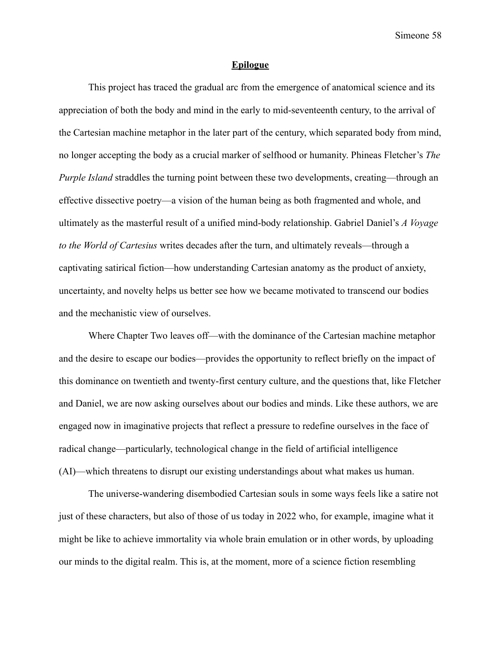#### **Epilogue**

This project has traced the gradual arc from the emergence of anatomical science and its appreciation of both the body and mind in the early to mid-seventeenth century, to the arrival of the Cartesian machine metaphor in the later part of the century, which separated body from mind, no longer accepting the body as a crucial marker of selfhood or humanity. Phineas Fletcher's *The Purple Island* straddles the turning point between these two developments, creating—through an effective dissective poetry—a vision of the human being as both fragmented and whole, and ultimately as the masterful result of a unified mind-body relationship. Gabriel Daniel's *A Voyage to the World of Cartesius* writes decades after the turn, and ultimately reveals—through a captivating satirical fiction—how understanding Cartesian anatomy as the product of anxiety, uncertainty, and novelty helps us better see how we became motivated to transcend our bodies and the mechanistic view of ourselves.

Where Chapter Two leaves off—with the dominance of the Cartesian machine metaphor and the desire to escape our bodies—provides the opportunity to reflect briefly on the impact of this dominance on twentieth and twenty-first century culture, and the questions that, like Fletcher and Daniel, we are now asking ourselves about our bodies and minds. Like these authors, we are engaged now in imaginative projects that reflect a pressure to redefine ourselves in the face of radical change—particularly, technological change in the field of artificial intelligence (AI)—which threatens to disrupt our existing understandings about what makes us human.

The universe-wandering disembodied Cartesian souls in some ways feels like a satire not just of these characters, but also of those of us today in 2022 who, for example, imagine what it might be like to achieve immortality via whole brain emulation or in other words, by uploading our minds to the digital realm. This is, at the moment, more of a science fiction resembling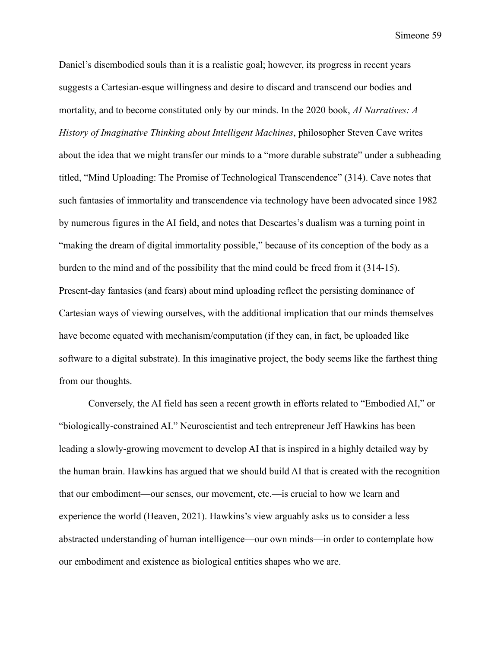Daniel's disembodied souls than it is a realistic goal; however, its progress in recent years suggests a Cartesian-esque willingness and desire to discard and transcend our bodies and mortality, and to become constituted only by our minds. In the 2020 book, *AI Narratives: A History of Imaginative Thinking about Intelligent Machines*, philosopher Steven Cave writes about the idea that we might transfer our minds to a "more durable substrate" under a subheading titled, "Mind Uploading: The Promise of Technological Transcendence" (314). Cave notes that such fantasies of immortality and transcendence via technology have been advocated since 1982 by numerous figures in the AI field, and notes that Descartes's dualism was a turning point in "making the dream of digital immortality possible," because of its conception of the body as a burden to the mind and of the possibility that the mind could be freed from it (314-15). Present-day fantasies (and fears) about mind uploading reflect the persisting dominance of Cartesian ways of viewing ourselves, with the additional implication that our minds themselves have become equated with mechanism/computation (if they can, in fact, be uploaded like software to a digital substrate). In this imaginative project, the body seems like the farthest thing from our thoughts.

Conversely, the AI field has seen a recent growth in efforts related to "Embodied AI," or "biologically-constrained AI." Neuroscientist and tech entrepreneur Jeff Hawkins has been leading a slowly-growing movement to develop AI that is inspired in a highly detailed way by the human brain. Hawkins has argued that we should build AI that is created with the recognition that our embodiment—our senses, our movement, etc.—is crucial to how we learn and experience the world (Heaven, 2021). Hawkins's view arguably asks us to consider a less abstracted understanding of human intelligence—our own minds—in order to contemplate how our embodiment and existence as biological entities shapes who we are.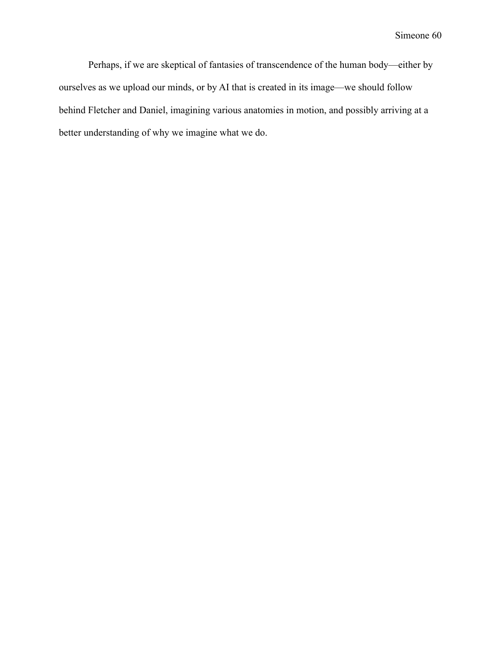Perhaps, if we are skeptical of fantasies of transcendence of the human body—either by ourselves as we upload our minds, or by AI that is created in its image—we should follow behind Fletcher and Daniel, imagining various anatomies in motion, and possibly arriving at a better understanding of why we imagine what we do.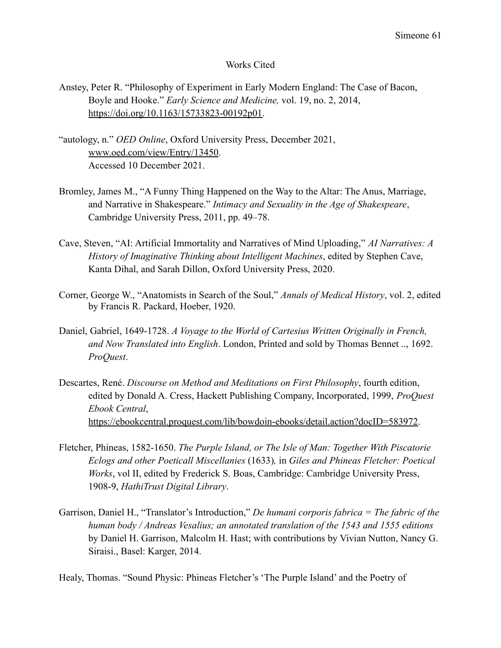#### Works Cited

- Anstey, Peter R. "Philosophy of Experiment in Early Modern England: The Case of Bacon, Boyle and Hooke." *Early Science and Medicine,* vol. 19, no. 2, 2014, [https://doi.org/10.1163/15733823-00192p01.](https://doi.org/10.1163/15733823-00192p01)
- "autology, n." *OED Online*, Oxford University Press, December 2021, [www.oed.com/view/Entry/13450](http://www.oed.com/view/Entry/13450). Accessed 10 December 2021.
- Bromley, James M., "A Funny Thing Happened on the Way to the Altar: The Anus, Marriage, and Narrative in Shakespeare." *Intimacy and Sexuality in the Age of Shakespeare*, Cambridge University Press, 2011, pp. 49–78.
- Cave, Steven, "AI: Artificial Immortality and Narratives of Mind Uploading," *AI Narratives: A History of Imaginative Thinking about Intelligent Machines*, edited by Stephen Cave, Kanta Dihal, and Sarah Dillon, Oxford University Press, 2020.
- Corner, George W., "Anatomists in Search of the Soul," *Annals of Medical History*, vol. 2, edited by Francis R. Packard, Hoeber, 1920.
- Daniel, Gabriel, 1649-1728. *A Voyage to the World of Cartesius Written Originally in French, and Now Translated into English*. London, Printed and sold by Thomas Bennet .., 1692. *ProQuest*.
- Descartes, René. *Discourse on Method and Meditations on First Philosophy*, fourth edition, edited by Donald A. Cress, Hackett Publishing Company, Incorporated, 1999, *ProQuest Ebook Central*, <https://ebookcentral.proquest.com/lib/bowdoin-ebooks/detail.action?docID=583972>.
- Fletcher, Phineas, 1582-1650. *The Purple Island, or The Isle of Man: Together With Piscatorie Eclogs and other Poeticall Miscellanies* (1633)*,* in *Giles and Phineas Fletcher: Poetical Works*, vol II, edited by Frederick S. Boas, Cambridge: Cambridge University Press, 1908-9, *HathiTrust Digital Library*.
- Garrison, Daniel H., "Translator's Introduction," *De humani corporis fabrica = The fabric of the human body / Andreas Vesalius; an annotated translation of the 1543 and 1555 editions* by Daniel H. Garrison, Malcolm H. Hast; with contributions by Vivian Nutton, Nancy G. Siraisi., Basel: Karger, 2014.

Healy, Thomas. "Sound Physic: Phineas Fletcher's 'The Purple Island' and the Poetry of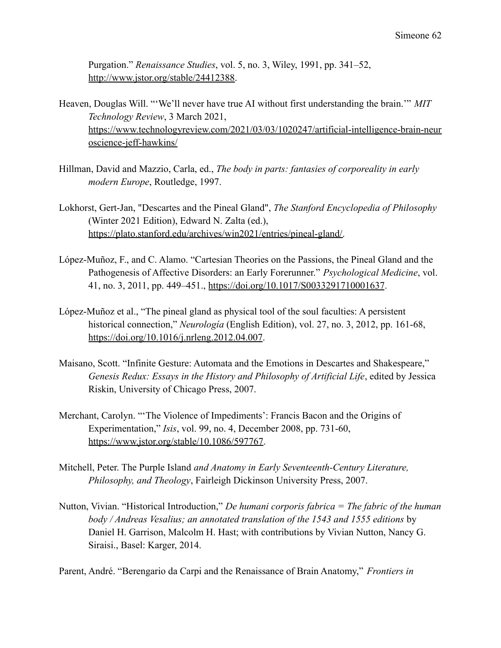Purgation." *Renaissance Studies*, vol. 5, no. 3, Wiley, 1991, pp. 341–52, [http://www.jstor.org/stable/24412388.](http://www.jstor.org/stable/24412388)

- Heaven, Douglas Will. "'We'll never have true AI without first understanding the brain.'" *MIT Technology Review*, 3 March 2021, [https://www.technologyreview.com/2021/03/03/1020247/artificial-intelligence-brain-neur](https://www.technologyreview.com/2021/03/03/1020247/artificial-intelligence-brain-neuroscience-jeff-hawkins/) [oscience-jeff-hawkins/](https://www.technologyreview.com/2021/03/03/1020247/artificial-intelligence-brain-neuroscience-jeff-hawkins/)
- Hillman, David and Mazzio, Carla, ed., *The body in parts: fantasies of corporeality in early modern Europe*, Routledge, 1997.
- Lokhorst, Gert-Jan, "Descartes and the Pineal Gland", *The Stanford Encyclopedia of Philosophy* (Winter 2021 Edition), Edward N. Zalta (ed.), [https://plato.stanford.edu/archives/win2021/entries/pineal-gland/.](https://plato.stanford.edu/archives/win2021/entries/pineal-gland/)
- López-Muñoz, F., and C. Alamo. "Cartesian Theories on the Passions, the Pineal Gland and the Pathogenesis of Affective Disorders: an Early Forerunner." *Psychological Medicine*, vol. 41, no. 3, 2011, pp. 449–451., <https://doi.org/10.1017/S0033291710001637>.
- López-Muñoz et al., "The pineal gland as physical tool of the soul faculties: A persistent historical connection," *Neurología* (English Edition), vol. 27, no. 3, 2012, pp. 161-68, <https://doi.org/10.1016/j.nrleng.2012.04.007>.
- Maisano, Scott. "Infinite Gesture: Automata and the Emotions in Descartes and Shakespeare," *Genesis Redux: Essays in the History and Philosophy of Artificial Life*, edited by Jessica Riskin, University of Chicago Press, 2007.
- Merchant, Carolyn. "'The Violence of Impediments': Francis Bacon and the Origins of Experimentation," *Isis*, vol. 99, no. 4, December 2008, pp. 731-60, <https://www.jstor.org/stable/10.1086/597767>.
- Mitchell, Peter. The Purple Island *and Anatomy in Early Seventeenth-Century Literature, Philosophy, and Theology*, Fairleigh Dickinson University Press, 2007.
- Nutton, Vivian. "Historical Introduction," *De humani corporis fabrica = The fabric of the human body / Andreas Vesalius; an annotated translation of the 1543 and 1555 editions* by Daniel H. Garrison, Malcolm H. Hast; with contributions by Vivian Nutton, Nancy G. Siraisi., Basel: Karger, 2014.

Parent, André. "Berengario da Carpi and the Renaissance of Brain Anatomy," *Frontiers in*